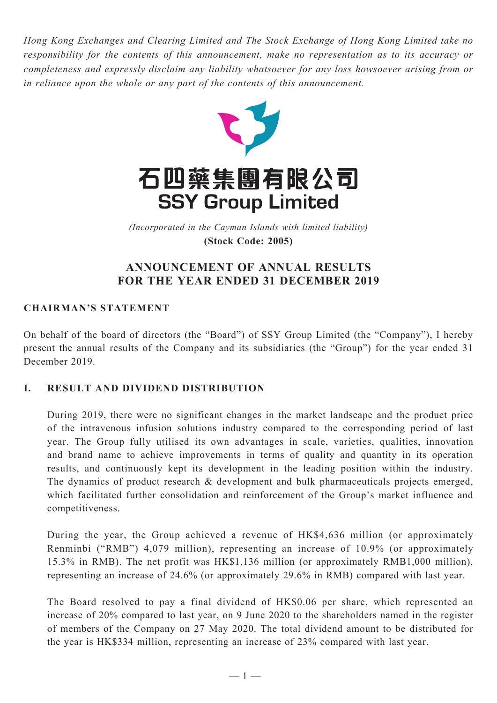*Hong Kong Exchanges and Clearing Limited and The Stock Exchange of Hong Kong Limited take no responsibility for the contents of this announcement, make no representation as to its accuracy or completeness and expressly disclaim any liability whatsoever for any loss howsoever arising from or in reliance upon the whole or any part of the contents of this announcement.*



(Incorporated in the Cayman Islands with limited liability) *(Incorporated in the Cayman Islands with limited liability)* **(Stock Code: 2005) (Stock Code: 2005)**

## **ANNOUNCEMENT OF ANNUAL RESULTS FOR THE YEAR ENDED 31 DECEMBER 2019**

## **CHAIRMAN'S STATEMENT**

On behalf of the board of directors (the "Board") of SSY Group Limited (the "Company"), I hereby present the annual results of the Company and its subsidiaries (the "Group") for the year ended 31 December 2019.

## **I. RESULT AND DIVIDEND DISTRIBUTION**

During 2019, there were no significant changes in the market landscape and the product price of the intravenous infusion solutions industry compared to the corresponding period of last year. The Group fully utilised its own advantages in scale, varieties, qualities, innovation and brand name to achieve improvements in terms of quality and quantity in its operation results, and continuously kept its development in the leading position within the industry. The dynamics of product research & development and bulk pharmaceuticals projects emerged, which facilitated further consolidation and reinforcement of the Group's market influence and competitiveness.

During the year, the Group achieved a revenue of HK\$4,636 million (or approximately Renminbi ("RMB") 4,079 million), representing an increase of 10.9% (or approximately 15.3% in RMB). The net profit was HK\$1,136 million (or approximately RMB1,000 million), representing an increase of 24.6% (or approximately 29.6% in RMB) compared with last year.

The Board resolved to pay a final dividend of HK\$0.06 per share, which represented an increase of 20% compared to last year, on 9 June 2020 to the shareholders named in the register of members of the Company on 27 May 2020. The total dividend amount to be distributed for the year is HK\$334 million, representing an increase of 23% compared with last year.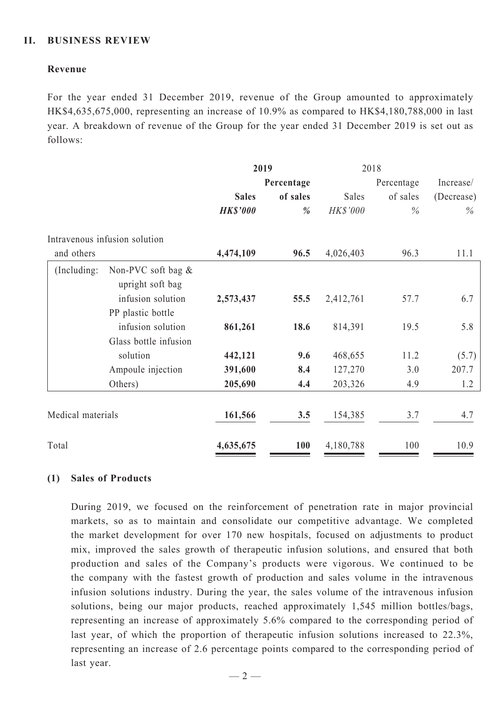### **II. BUSINESS REVIEW**

### **Revenue**

For the year ended 31 December 2019, revenue of the Group amounted to approximately HK\$4,635,675,000, representing an increase of 10.9% as compared to HK\$4,180,788,000 in last year. A breakdown of revenue of the Group for the year ended 31 December 2019 is set out as follows:

|                   |                                        | 2019            |            | 2018       |          |            |  |
|-------------------|----------------------------------------|-----------------|------------|------------|----------|------------|--|
|                   |                                        | Percentage      |            | Percentage |          | Increase/  |  |
|                   |                                        | <b>Sales</b>    | of sales   | Sales      | of sales | (Decrease) |  |
|                   |                                        | <b>HK\$'000</b> | %          | HK\$'000   | $\%$     | $\%$       |  |
|                   | Intravenous infusion solution          |                 |            |            |          |            |  |
| and others        |                                        | 4,474,109       | 96.5       | 4,026,403  | 96.3     | 11.1       |  |
| (Including:       | Non-PVC soft bag &<br>upright soft bag |                 |            |            |          |            |  |
|                   | infusion solution                      | 2,573,437       | 55.5       | 2,412,761  | 57.7     | 6.7        |  |
|                   | PP plastic bottle                      |                 |            |            |          |            |  |
|                   | infusion solution                      | 861,261         | 18.6       | 814,391    | 19.5     | 5.8        |  |
|                   | Glass bottle infusion                  |                 |            |            |          |            |  |
|                   | solution                               | 442,121         | 9.6        | 468,655    | 11.2     | (5.7)      |  |
|                   | Ampoule injection                      | 391,600         | 8.4        | 127,270    | 3.0      | 207.7      |  |
|                   | Others)                                | 205,690         | 4.4        | 203,326    | 4.9      | 1.2        |  |
| Medical materials |                                        | 161,566         | 3.5        | 154,385    | 3.7      | 4.7        |  |
| Total             |                                        | 4,635,675       | <b>100</b> | 4,180,788  | 100      | 10.9       |  |

### **(1) Sales of Products**

During 2019, we focused on the reinforcement of penetration rate in major provincial markets, so as to maintain and consolidate our competitive advantage. We completed the market development for over 170 new hospitals, focused on adjustments to product mix, improved the sales growth of therapeutic infusion solutions, and ensured that both production and sales of the Company's products were vigorous. We continued to be the company with the fastest growth of production and sales volume in the intravenous infusion solutions industry. During the year, the sales volume of the intravenous infusion solutions, being our major products, reached approximately 1,545 million bottles/bags, representing an increase of approximately 5.6% compared to the corresponding period of last year, of which the proportion of therapeutic infusion solutions increased to 22.3%, representing an increase of 2.6 percentage points compared to the corresponding period of last year.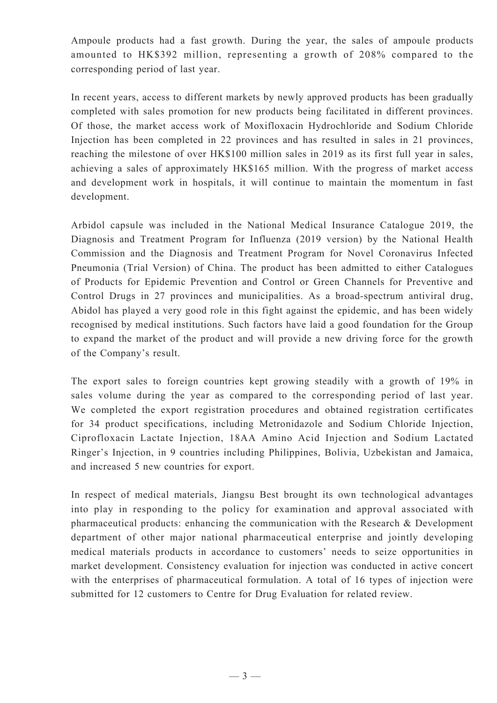Ampoule products had a fast growth. During the year, the sales of ampoule products amounted to HK\$392 million, representing a growth of 208% compared to the corresponding period of last year.

In recent years, access to different markets by newly approved products has been gradually completed with sales promotion for new products being facilitated in different provinces. Of those, the market access work of Moxifloxacin Hydrochloride and Sodium Chloride Injection has been completed in 22 provinces and has resulted in sales in 21 provinces, reaching the milestone of over HK\$100 million sales in 2019 as its first full year in sales, achieving a sales of approximately HK\$165 million. With the progress of market access and development work in hospitals, it will continue to maintain the momentum in fast development.

Arbidol capsule was included in the National Medical Insurance Catalogue 2019, the Diagnosis and Treatment Program for Influenza (2019 version) by the National Health Commission and the Diagnosis and Treatment Program for Novel Coronavirus Infected Pneumonia (Trial Version) of China. The product has been admitted to either Catalogues of Products for Epidemic Prevention and Control or Green Channels for Preventive and Control Drugs in 27 provinces and municipalities. As a broad-spectrum antiviral drug, Abidol has played a very good role in this fight against the epidemic, and has been widely recognised by medical institutions. Such factors have laid a good foundation for the Group to expand the market of the product and will provide a new driving force for the growth of the Company's result.

The export sales to foreign countries kept growing steadily with a growth of 19% in sales volume during the year as compared to the corresponding period of last year. We completed the export registration procedures and obtained registration certificates for 34 product specifications, including Metronidazole and Sodium Chloride Injection, Ciprofloxacin Lactate Injection, 18AA Amino Acid Injection and Sodium Lactated Ringer's Injection, in 9 countries including Philippines, Bolivia, Uzbekistan and Jamaica, and increased 5 new countries for export.

In respect of medical materials, Jiangsu Best brought its own technological advantages into play in responding to the policy for examination and approval associated with pharmaceutical products: enhancing the communication with the Research & Development department of other major national pharmaceutical enterprise and jointly developing medical materials products in accordance to customers' needs to seize opportunities in market development. Consistency evaluation for injection was conducted in active concert with the enterprises of pharmaceutical formulation. A total of 16 types of injection were submitted for 12 customers to Centre for Drug Evaluation for related review.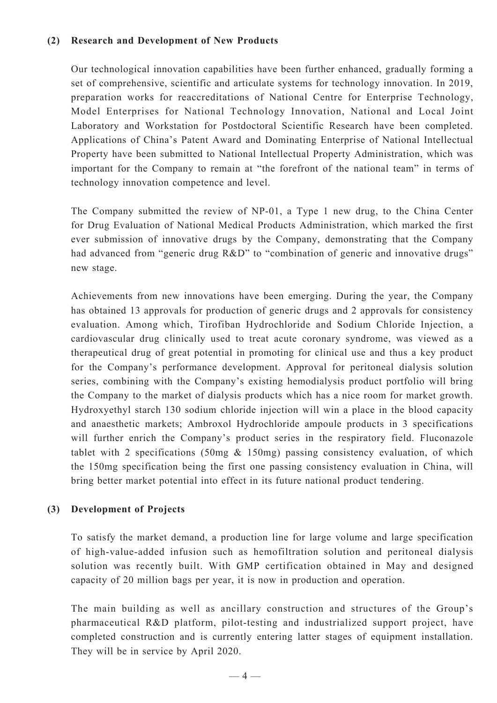### **(2) Research and Development of New Products**

Our technological innovation capabilities have been further enhanced, gradually forming a set of comprehensive, scientific and articulate systems for technology innovation. In 2019, preparation works for reaccreditations of National Centre for Enterprise Technology, Model Enterprises for National Technology Innovation, National and Local Joint Laboratory and Workstation for Postdoctoral Scientific Research have been completed. Applications of China's Patent Award and Dominating Enterprise of National Intellectual Property have been submitted to National Intellectual Property Administration, which was important for the Company to remain at "the forefront of the national team" in terms of technology innovation competence and level.

The Company submitted the review of NP-01, a Type 1 new drug, to the China Center for Drug Evaluation of National Medical Products Administration, which marked the first ever submission of innovative drugs by the Company, demonstrating that the Company had advanced from "generic drug R&D" to "combination of generic and innovative drugs" new stage.

Achievements from new innovations have been emerging. During the year, the Company has obtained 13 approvals for production of generic drugs and 2 approvals for consistency evaluation. Among which, Tirofiban Hydrochloride and Sodium Chloride Injection, a cardiovascular drug clinically used to treat acute coronary syndrome, was viewed as a therapeutical drug of great potential in promoting for clinical use and thus a key product for the Company's performance development. Approval for peritoneal dialysis solution series, combining with the Company's existing hemodialysis product portfolio will bring the Company to the market of dialysis products which has a nice room for market growth. Hydroxyethyl starch 130 sodium chloride injection will win a place in the blood capacity and anaesthetic markets; Ambroxol Hydrochloride ampoule products in 3 specifications will further enrich the Company's product series in the respiratory field. Fluconazole tablet with 2 specifications (50mg & 150mg) passing consistency evaluation, of which the 150mg specification being the first one passing consistency evaluation in China, will bring better market potential into effect in its future national product tendering.

### **(3) Development of Projects**

To satisfy the market demand, a production line for large volume and large specification of high-value-added infusion such as hemofiltration solution and peritoneal dialysis solution was recently built. With GMP certification obtained in May and designed capacity of 20 million bags per year, it is now in production and operation.

The main building as well as ancillary construction and structures of the Group's pharmaceutical R&D platform, pilot-testing and industrialized support project, have completed construction and is currently entering latter stages of equipment installation. They will be in service by April 2020.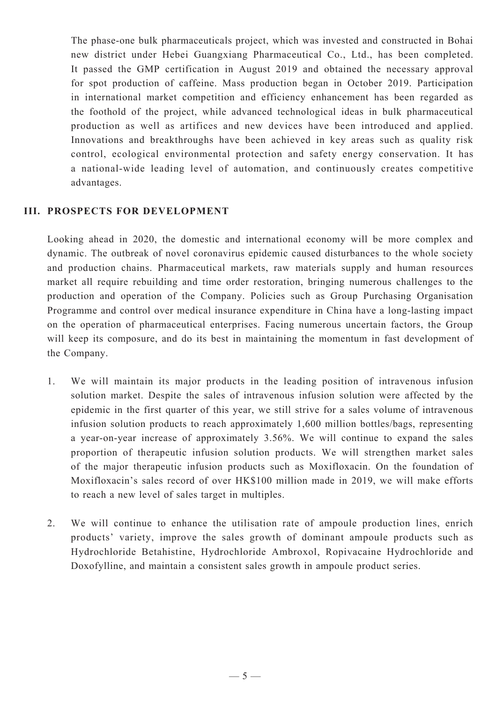The phase-one bulk pharmaceuticals project, which was invested and constructed in Bohai new district under Hebei Guangxiang Pharmaceutical Co., Ltd., has been completed. It passed the GMP certification in August 2019 and obtained the necessary approval for spot production of caffeine. Mass production began in October 2019. Participation in international market competition and efficiency enhancement has been regarded as the foothold of the project, while advanced technological ideas in bulk pharmaceutical production as well as artifices and new devices have been introduced and applied. Innovations and breakthroughs have been achieved in key areas such as quality risk control, ecological environmental protection and safety energy conservation. It has a national-wide leading level of automation, and continuously creates competitive advantages.

### **III. PROSPECTS FOR DEVELOPMENT**

Looking ahead in 2020, the domestic and international economy will be more complex and dynamic. The outbreak of novel coronavirus epidemic caused disturbances to the whole society and production chains. Pharmaceutical markets, raw materials supply and human resources market all require rebuilding and time order restoration, bringing numerous challenges to the production and operation of the Company. Policies such as Group Purchasing Organisation Programme and control over medical insurance expenditure in China have a long-lasting impact on the operation of pharmaceutical enterprises. Facing numerous uncertain factors, the Group will keep its composure, and do its best in maintaining the momentum in fast development of the Company.

- 1. We will maintain its major products in the leading position of intravenous infusion solution market. Despite the sales of intravenous infusion solution were affected by the epidemic in the first quarter of this year, we still strive for a sales volume of intravenous infusion solution products to reach approximately 1,600 million bottles/bags, representing a year-on-year increase of approximately 3.56%. We will continue to expand the sales proportion of therapeutic infusion solution products. We will strengthen market sales of the major therapeutic infusion products such as Moxifloxacin. On the foundation of Moxifloxacin's sales record of over HK\$100 million made in 2019, we will make efforts to reach a new level of sales target in multiples.
- 2. We will continue to enhance the utilisation rate of ampoule production lines, enrich products' variety, improve the sales growth of dominant ampoule products such as Hydrochloride Betahistine, Hydrochloride Ambroxol, Ropivacaine Hydrochloride and Doxofylline, and maintain a consistent sales growth in ampoule product series.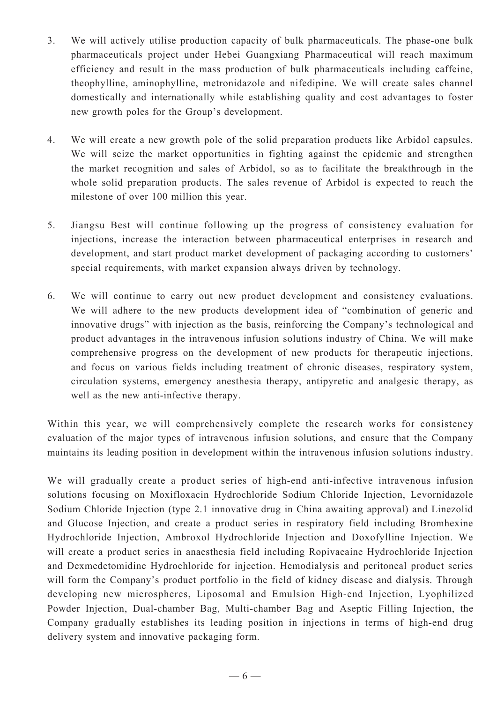- 3. We will actively utilise production capacity of bulk pharmaceuticals. The phase-one bulk pharmaceuticals project under Hebei Guangxiang Pharmaceutical will reach maximum efficiency and result in the mass production of bulk pharmaceuticals including caffeine, theophylline, aminophylline, metronidazole and nifedipine. We will create sales channel domestically and internationally while establishing quality and cost advantages to foster new growth poles for the Group's development.
- 4. We will create a new growth pole of the solid preparation products like Arbidol capsules. We will seize the market opportunities in fighting against the epidemic and strengthen the market recognition and sales of Arbidol, so as to facilitate the breakthrough in the whole solid preparation products. The sales revenue of Arbidol is expected to reach the milestone of over 100 million this year.
- 5. Jiangsu Best will continue following up the progress of consistency evaluation for injections, increase the interaction between pharmaceutical enterprises in research and development, and start product market development of packaging according to customers' special requirements, with market expansion always driven by technology.
- 6. We will continue to carry out new product development and consistency evaluations. We will adhere to the new products development idea of "combination of generic and innovative drugs" with injection as the basis, reinforcing the Company's technological and product advantages in the intravenous infusion solutions industry of China. We will make comprehensive progress on the development of new products for therapeutic injections, and focus on various fields including treatment of chronic diseases, respiratory system, circulation systems, emergency anesthesia therapy, antipyretic and analgesic therapy, as well as the new anti-infective therapy.

Within this year, we will comprehensively complete the research works for consistency evaluation of the major types of intravenous infusion solutions, and ensure that the Company maintains its leading position in development within the intravenous infusion solutions industry.

We will gradually create a product series of high-end anti-infective intravenous infusion solutions focusing on Moxifloxacin Hydrochloride Sodium Chloride Injection, Levornidazole Sodium Chloride Injection (type 2.1 innovative drug in China awaiting approval) and Linezolid and Glucose Injection, and create a product series in respiratory field including Bromhexine Hydrochloride Injection, Ambroxol Hydrochloride Injection and Doxofylline Injection. We will create a product series in anaesthesia field including Ropivaeaine Hydrochloride Injection and Dexmedetomidine Hydrochloride for injection. Hemodialysis and peritoneal product series will form the Company's product portfolio in the field of kidney disease and dialysis. Through developing new microspheres, Liposomal and Emulsion High-end Injection, Lyophilized Powder Injection, Dual-chamber Bag, Multi-chamber Bag and Aseptic Filling Injection, the Company gradually establishes its leading position in injections in terms of high-end drug delivery system and innovative packaging form.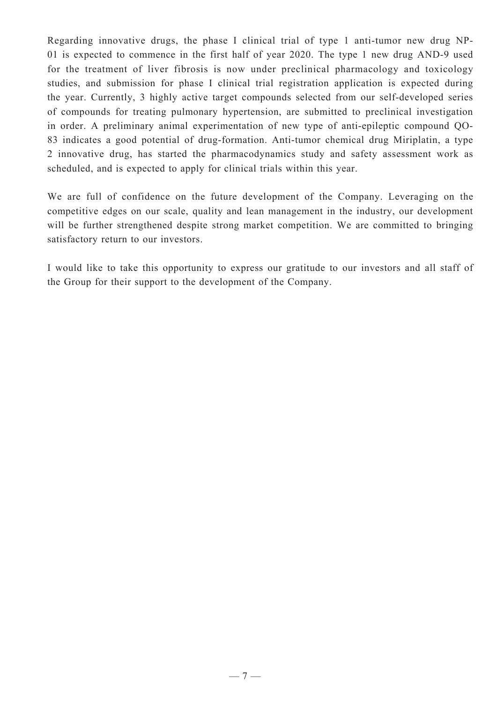Regarding innovative drugs, the phase I clinical trial of type 1 anti-tumor new drug NP-01 is expected to commence in the first half of year 2020. The type 1 new drug AND-9 used for the treatment of liver fibrosis is now under preclinical pharmacology and toxicology studies, and submission for phase I clinical trial registration application is expected during the year. Currently, 3 highly active target compounds selected from our self-developed series of compounds for treating pulmonary hypertension, are submitted to preclinical investigation in order. A preliminary animal experimentation of new type of anti-epileptic compound QO-83 indicates a good potential of drug-formation. Anti-tumor chemical drug Miriplatin, a type 2 innovative drug, has started the pharmacodynamics study and safety assessment work as scheduled, and is expected to apply for clinical trials within this year.

We are full of confidence on the future development of the Company. Leveraging on the competitive edges on our scale, quality and lean management in the industry, our development will be further strengthened despite strong market competition. We are committed to bringing satisfactory return to our investors.

I would like to take this opportunity to express our gratitude to our investors and all staff of the Group for their support to the development of the Company.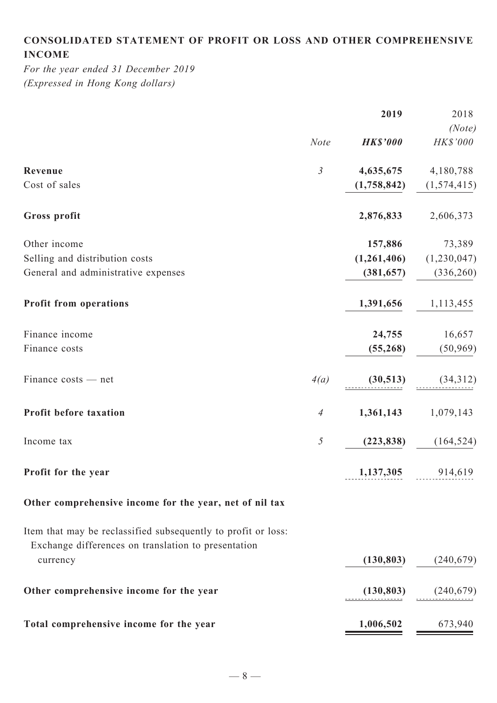# **Consolidated statement of profit or loss and other comprehensive income**

*For the year ended 31 December 2019 (Expressed in Hong Kong dollars)*

|                                                                                                                      |                | 2019            | 2018               |
|----------------------------------------------------------------------------------------------------------------------|----------------|-----------------|--------------------|
|                                                                                                                      | <b>Note</b>    | <b>HK\$'000</b> | (Note)<br>HK\$'000 |
| Revenue                                                                                                              | $\mathfrak{Z}$ | 4,635,675       | 4,180,788          |
| Cost of sales                                                                                                        |                | (1,758,842)     | (1,574,415)        |
| Gross profit                                                                                                         |                | 2,876,833       | 2,606,373          |
| Other income                                                                                                         |                | 157,886         | 73,389             |
| Selling and distribution costs                                                                                       |                | (1,261,406)     | (1,230,047)        |
| General and administrative expenses                                                                                  |                | (381, 657)      | (336, 260)         |
| <b>Profit from operations</b>                                                                                        |                | 1,391,656       | 1,113,455          |
| Finance income                                                                                                       |                | 24,755          | 16,657             |
| Finance costs                                                                                                        |                | (55,268)        | (50, 969)          |
| Finance costs - net                                                                                                  | 4(a)           | (30,513)        | (34,312)           |
| Profit before taxation                                                                                               | $\overline{A}$ | 1,361,143       | 1,079,143          |
| Income tax                                                                                                           | 5              | (223, 838)      | (164, 524)         |
| Profit for the year                                                                                                  |                | 1,137,305       | 914,619            |
| Other comprehensive income for the year, net of nil tax                                                              |                |                 |                    |
| Item that may be reclassified subsequently to profit or loss:<br>Exchange differences on translation to presentation |                |                 |                    |
| currency                                                                                                             |                | (130, 803)      | (240, 679)         |
| Other comprehensive income for the year                                                                              |                | (130, 803)      | (240, 679)         |
| Total comprehensive income for the year                                                                              |                | 1,006,502       | 673,940            |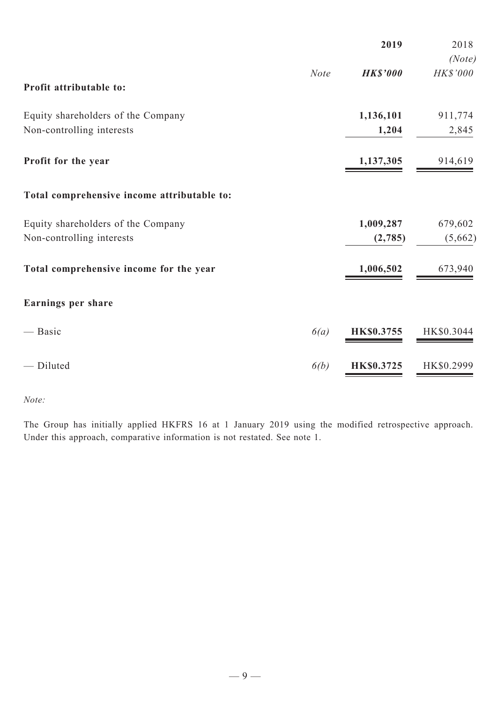|                                             |             | 2019              | 2018               |
|---------------------------------------------|-------------|-------------------|--------------------|
| Profit attributable to:                     | <b>Note</b> | <b>HK\$'000</b>   | (Note)<br>HK\$'000 |
| Equity shareholders of the Company          |             | 1,136,101         | 911,774            |
| Non-controlling interests                   |             | 1,204             | 2,845              |
| Profit for the year                         |             | 1,137,305         | 914,619            |
| Total comprehensive income attributable to: |             |                   |                    |
| Equity shareholders of the Company          |             | 1,009,287         | 679,602            |
| Non-controlling interests                   |             | (2,785)           | (5,662)            |
| Total comprehensive income for the year     |             | 1,006,502         | 673,940            |
| Earnings per share                          |             |                   |                    |
| — Basic                                     | 6(a)        | <b>HK\$0.3755</b> | HK\$0.3044         |
| - Diluted                                   | 6(b)        | <b>HK\$0.3725</b> | HK\$0.2999         |

*Note:*

The Group has initially applied HKFRS 16 at 1 January 2019 using the modified retrospective approach. Under this approach, comparative information is not restated. See note 1.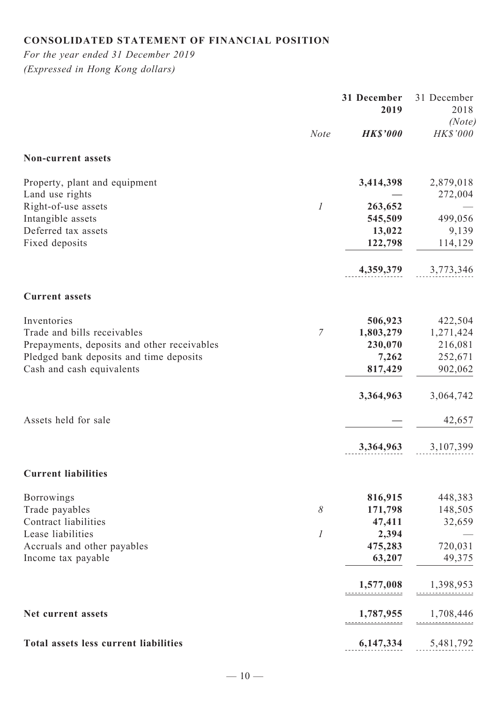# **Consolidated statement of financial position**

*For the year ended 31 December 2019 (Expressed in Hong Kong dollars)*

|                                                  |                  | 31 December<br>2019 | 31 December<br>2018<br>(Note) |
|--------------------------------------------------|------------------|---------------------|-------------------------------|
|                                                  | <b>Note</b>      | <b>HK\$'000</b>     | HK\$'000                      |
| Non-current assets                               |                  |                     |                               |
| Property, plant and equipment                    |                  | 3,414,398           | 2,879,018                     |
| Land use rights<br>Right-of-use assets           | $\boldsymbol{l}$ | 263,652             | 272,004                       |
| Intangible assets                                |                  | 545,509             | 499,056                       |
| Deferred tax assets                              |                  | 13,022              | 9,139                         |
| Fixed deposits                                   |                  | 122,798             | 114,129                       |
|                                                  |                  | 4,359,379           | 3,773,346                     |
| <b>Current assets</b>                            |                  |                     |                               |
| Inventories                                      |                  | 506,923             | 422,504                       |
| Trade and bills receivables                      | $\mathcal T$     | 1,803,279           | 1,271,424                     |
| Prepayments, deposits and other receivables      |                  | 230,070             | 216,081                       |
| Pledged bank deposits and time deposits          |                  | 7,262               | 252,671                       |
| Cash and cash equivalents                        |                  | 817,429             | 902,062                       |
|                                                  |                  | 3,364,963           | 3,064,742                     |
| Assets held for sale                             |                  |                     | 42,657                        |
|                                                  |                  | 3,364,963           | 3,107,399                     |
| <b>Current liabilities</b>                       |                  |                     |                               |
| Borrowings                                       |                  | 816,915             | 448,383                       |
| Trade payables                                   | $\delta$         | 171,798             | 148,505                       |
| Contract liabilities                             |                  | 47,411              | 32,659                        |
| Lease liabilities<br>Accruals and other payables | $\boldsymbol{l}$ | 2,394<br>475,283    | 720,031                       |
| Income tax payable                               |                  | 63,207              | 49,375                        |
|                                                  |                  |                     |                               |
|                                                  |                  | 1,577,008           | 1,398,953                     |
| Net current assets                               |                  | 1,787,955           | 1,708,446                     |
| Total assets less current liabilities            |                  | 6,147,334           | 5,481,792                     |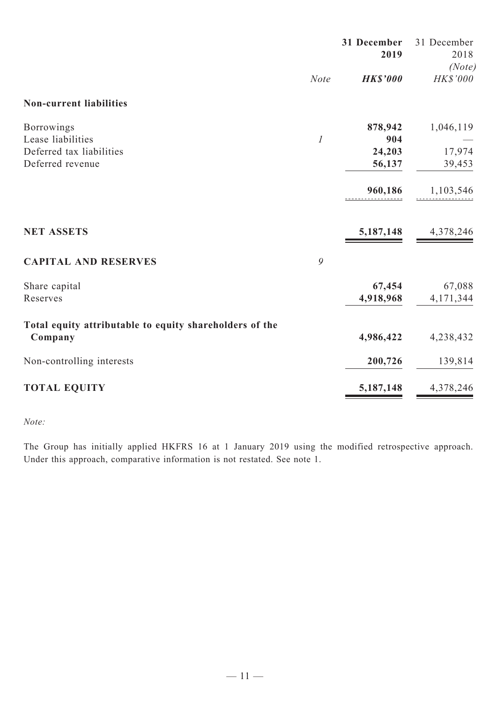|                                                         |                  | 31 December<br>2019 | 31 December<br>2018<br>(Note) |
|---------------------------------------------------------|------------------|---------------------|-------------------------------|
|                                                         | <b>Note</b>      | <b>HK\$'000</b>     | <b>HK\$'000</b>               |
| <b>Non-current liabilities</b>                          |                  |                     |                               |
| Borrowings                                              |                  | 878,942             | 1,046,119                     |
| Lease liabilities                                       | $\boldsymbol{l}$ | 904                 |                               |
| Deferred tax liabilities                                |                  | 24,203              | 17,974                        |
| Deferred revenue                                        |                  | 56,137              | 39,453                        |
|                                                         |                  | 960,186             | 1,103,546                     |
|                                                         |                  |                     |                               |
| <b>NET ASSETS</b>                                       |                  | 5,187,148           | 4,378,246                     |
| <b>CAPITAL AND RESERVES</b>                             | 9                |                     |                               |
| Share capital                                           |                  | 67,454              | 67,088                        |
| Reserves                                                |                  | 4,918,968           | 4,171,344                     |
| Total equity attributable to equity shareholders of the |                  |                     |                               |
| Company                                                 |                  | 4,986,422           | 4,238,432                     |
| Non-controlling interests                               |                  | 200,726             | 139,814                       |
| <b>TOTAL EQUITY</b>                                     |                  | 5,187,148           | 4,378,246                     |

*Note:*

The Group has initially applied HKFRS 16 at 1 January 2019 using the modified retrospective approach. Under this approach, comparative information is not restated. See note 1.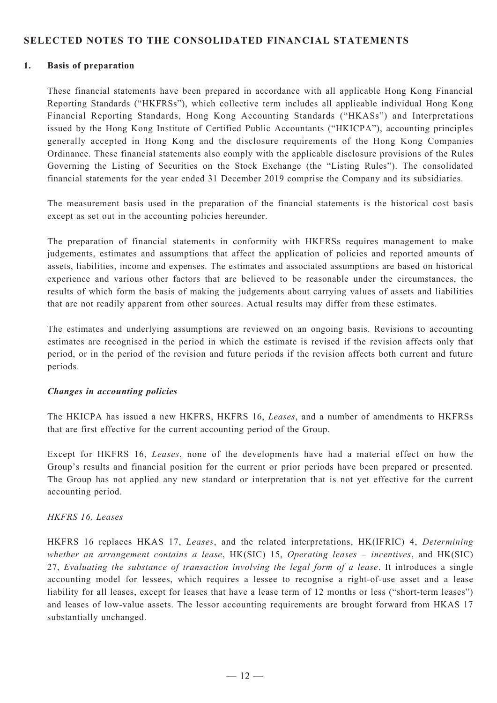### **SELECTED NOTES TO THE CONSOLIDATED FINANCIAL STATEMENTS**

#### **1. Basis of preparation**

These financial statements have been prepared in accordance with all applicable Hong Kong Financial Reporting Standards ("HKFRSs"), which collective term includes all applicable individual Hong Kong Financial Reporting Standards, Hong Kong Accounting Standards ("HKASs") and Interpretations issued by the Hong Kong Institute of Certified Public Accountants ("HKICPA"), accounting principles generally accepted in Hong Kong and the disclosure requirements of the Hong Kong Companies Ordinance. These financial statements also comply with the applicable disclosure provisions of the Rules Governing the Listing of Securities on the Stock Exchange (the "Listing Rules"). The consolidated financial statements for the year ended 31 December 2019 comprise the Company and its subsidiaries.

The measurement basis used in the preparation of the financial statements is the historical cost basis except as set out in the accounting policies hereunder.

The preparation of financial statements in conformity with HKFRSs requires management to make judgements, estimates and assumptions that affect the application of policies and reported amounts of assets, liabilities, income and expenses. The estimates and associated assumptions are based on historical experience and various other factors that are believed to be reasonable under the circumstances, the results of which form the basis of making the judgements about carrying values of assets and liabilities that are not readily apparent from other sources. Actual results may differ from these estimates.

The estimates and underlying assumptions are reviewed on an ongoing basis. Revisions to accounting estimates are recognised in the period in which the estimate is revised if the revision affects only that period, or in the period of the revision and future periods if the revision affects both current and future periods.

#### *Changes in accounting policies*

The HKICPA has issued a new HKFRS, HKFRS 16, *Leases*, and a number of amendments to HKFRSs that are first effective for the current accounting period of the Group.

Except for HKFRS 16, *Leases*, none of the developments have had a material effect on how the Group's results and financial position for the current or prior periods have been prepared or presented. The Group has not applied any new standard or interpretation that is not yet effective for the current accounting period.

#### *HKFRS 16, Leases*

HKFRS 16 replaces HKAS 17, *Leases*, and the related interpretations, HK(IFRIC) 4, *Determining whether an arrangement contains a lease*, HK(SIC) 15, *Operating leases – incentives*, and HK(SIC) 27, *Evaluating the substance of transaction involving the legal form of a lease*. It introduces a single accounting model for lessees, which requires a lessee to recognise a right-of-use asset and a lease liability for all leases, except for leases that have a lease term of 12 months or less ("short-term leases") and leases of low-value assets. The lessor accounting requirements are brought forward from HKAS 17 substantially unchanged.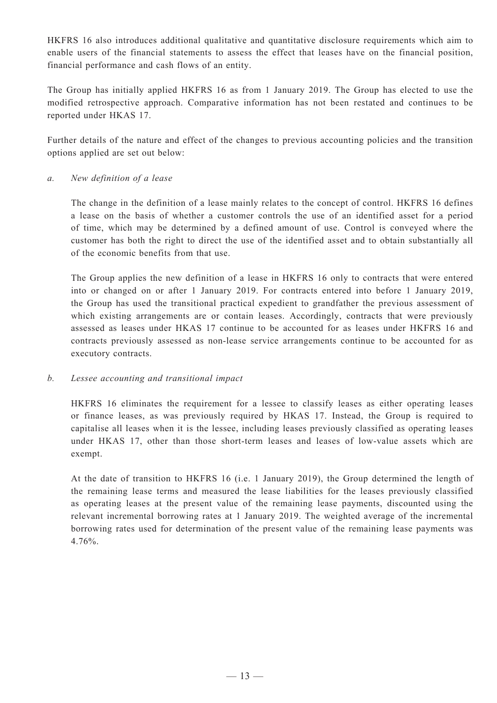HKFRS 16 also introduces additional qualitative and quantitative disclosure requirements which aim to enable users of the financial statements to assess the effect that leases have on the financial position, financial performance and cash flows of an entity.

The Group has initially applied HKFRS 16 as from 1 January 2019. The Group has elected to use the modified retrospective approach. Comparative information has not been restated and continues to be reported under HKAS 17.

Further details of the nature and effect of the changes to previous accounting policies and the transition options applied are set out below:

#### *a. New definition of a lease*

The change in the definition of a lease mainly relates to the concept of control. HKFRS 16 defines a lease on the basis of whether a customer controls the use of an identified asset for a period of time, which may be determined by a defined amount of use. Control is conveyed where the customer has both the right to direct the use of the identified asset and to obtain substantially all of the economic benefits from that use.

The Group applies the new definition of a lease in HKFRS 16 only to contracts that were entered into or changed on or after 1 January 2019. For contracts entered into before 1 January 2019, the Group has used the transitional practical expedient to grandfather the previous assessment of which existing arrangements are or contain leases. Accordingly, contracts that were previously assessed as leases under HKAS 17 continue to be accounted for as leases under HKFRS 16 and contracts previously assessed as non-lease service arrangements continue to be accounted for as executory contracts.

#### *b. Lessee accounting and transitional impact*

HKFRS 16 eliminates the requirement for a lessee to classify leases as either operating leases or finance leases, as was previously required by HKAS 17. Instead, the Group is required to capitalise all leases when it is the lessee, including leases previously classified as operating leases under HKAS 17, other than those short-term leases and leases of low-value assets which are exempt.

At the date of transition to HKFRS 16 (i.e. 1 January 2019), the Group determined the length of the remaining lease terms and measured the lease liabilities for the leases previously classified as operating leases at the present value of the remaining lease payments, discounted using the relevant incremental borrowing rates at 1 January 2019. The weighted average of the incremental borrowing rates used for determination of the present value of the remaining lease payments was 4.76%.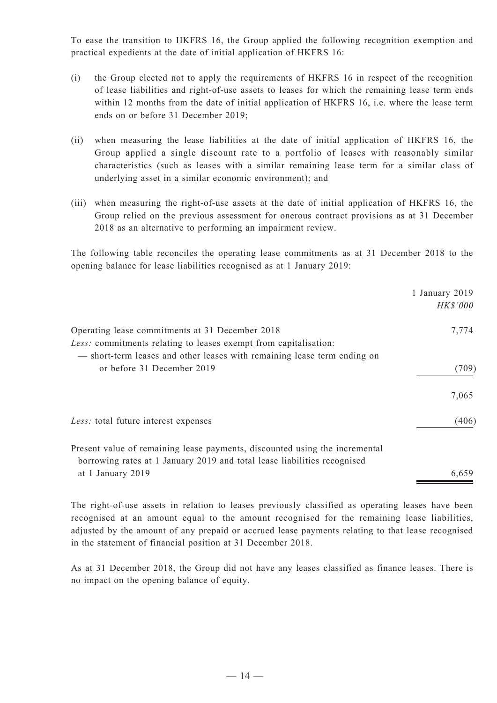To ease the transition to HKFRS 16, the Group applied the following recognition exemption and practical expedients at the date of initial application of HKFRS 16:

- (i) the Group elected not to apply the requirements of HKFRS 16 in respect of the recognition of lease liabilities and right-of-use assets to leases for which the remaining lease term ends within 12 months from the date of initial application of HKFRS 16, i.e. where the lease term ends on or before 31 December 2019;
- (ii) when measuring the lease liabilities at the date of initial application of HKFRS 16, the Group applied a single discount rate to a portfolio of leases with reasonably similar characteristics (such as leases with a similar remaining lease term for a similar class of underlying asset in a similar economic environment); and
- (iii) when measuring the right-of-use assets at the date of initial application of HKFRS 16, the Group relied on the previous assessment for onerous contract provisions as at 31 December 2018 as an alternative to performing an impairment review.

The following table reconciles the operating lease commitments as at 31 December 2018 to the opening balance for lease liabilities recognised as at 1 January 2019:

|                                                                             | 1 January 2019  |
|-----------------------------------------------------------------------------|-----------------|
|                                                                             | <i>HK\$'000</i> |
| Operating lease commitments at 31 December 2018                             | 7,774           |
| Less: commitments relating to leases exempt from capitalisation:            |                 |
| - short-term leases and other leases with remaining lease term ending on    |                 |
| or before 31 December 2019                                                  | (709)           |
|                                                                             | 7,065           |
| Less: total future interest expenses                                        | (406)           |
| Present value of remaining lease payments, discounted using the incremental |                 |
| borrowing rates at 1 January 2019 and total lease liabilities recognised    |                 |
| at 1 January 2019                                                           | 6,659           |
|                                                                             |                 |

The right-of-use assets in relation to leases previously classified as operating leases have been recognised at an amount equal to the amount recognised for the remaining lease liabilities, adjusted by the amount of any prepaid or accrued lease payments relating to that lease recognised in the statement of financial position at 31 December 2018.

As at 31 December 2018, the Group did not have any leases classified as finance leases. There is no impact on the opening balance of equity.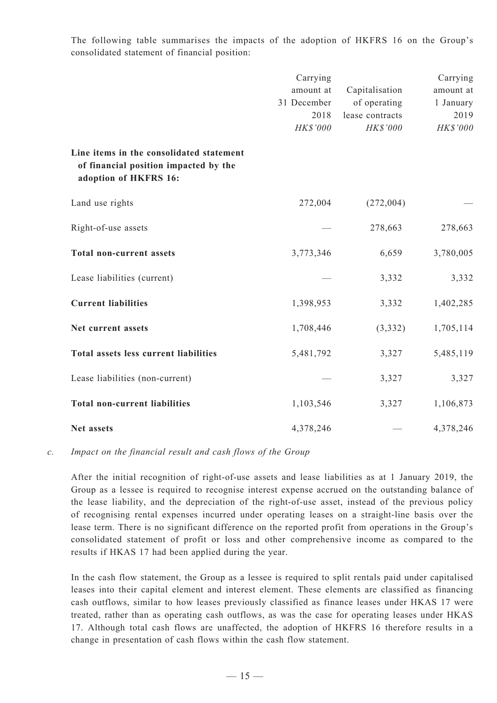The following table summarises the impacts of the adoption of HKFRS 16 on the Group's consolidated statement of financial position:

|                                                                                                            | Carrying<br>amount at<br>31 December<br>2018<br>HK\$'000 | Capitalisation<br>of operating<br>lease contracts<br>HK\$'000 | Carrying<br>amount at<br>1 January<br>2019<br>HK\$'000 |
|------------------------------------------------------------------------------------------------------------|----------------------------------------------------------|---------------------------------------------------------------|--------------------------------------------------------|
| Line items in the consolidated statement<br>of financial position impacted by the<br>adoption of HKFRS 16: |                                                          |                                                               |                                                        |
| Land use rights                                                                                            | 272,004                                                  | (272,004)                                                     |                                                        |
| Right-of-use assets                                                                                        |                                                          | 278,663                                                       | 278,663                                                |
| <b>Total non-current assets</b>                                                                            | 3,773,346                                                | 6,659                                                         | 3,780,005                                              |
| Lease liabilities (current)                                                                                |                                                          | 3,332                                                         | 3,332                                                  |
| <b>Current liabilities</b>                                                                                 | 1,398,953                                                | 3,332                                                         | 1,402,285                                              |
| Net current assets                                                                                         | 1,708,446                                                | (3, 332)                                                      | 1,705,114                                              |
| Total assets less current liabilities                                                                      | 5,481,792                                                | 3,327                                                         | 5,485,119                                              |
| Lease liabilities (non-current)                                                                            |                                                          | 3,327                                                         | 3,327                                                  |
| <b>Total non-current liabilities</b>                                                                       | 1,103,546                                                | 3,327                                                         | 1,106,873                                              |
| Net assets                                                                                                 | 4,378,246                                                |                                                               | 4,378,246                                              |

#### *c. Impact on the financial result and cash flows of the Group*

After the initial recognition of right-of-use assets and lease liabilities as at 1 January 2019, the Group as a lessee is required to recognise interest expense accrued on the outstanding balance of the lease liability, and the depreciation of the right-of-use asset, instead of the previous policy of recognising rental expenses incurred under operating leases on a straight-line basis over the lease term. There is no significant difference on the reported profit from operations in the Group's consolidated statement of profit or loss and other comprehensive income as compared to the results if HKAS 17 had been applied during the year.

In the cash flow statement, the Group as a lessee is required to split rentals paid under capitalised leases into their capital element and interest element. These elements are classified as financing cash outflows, similar to how leases previously classified as finance leases under HKAS 17 were treated, rather than as operating cash outflows, as was the case for operating leases under HKAS 17. Although total cash flows are unaffected, the adoption of HKFRS 16 therefore results in a change in presentation of cash flows within the cash flow statement.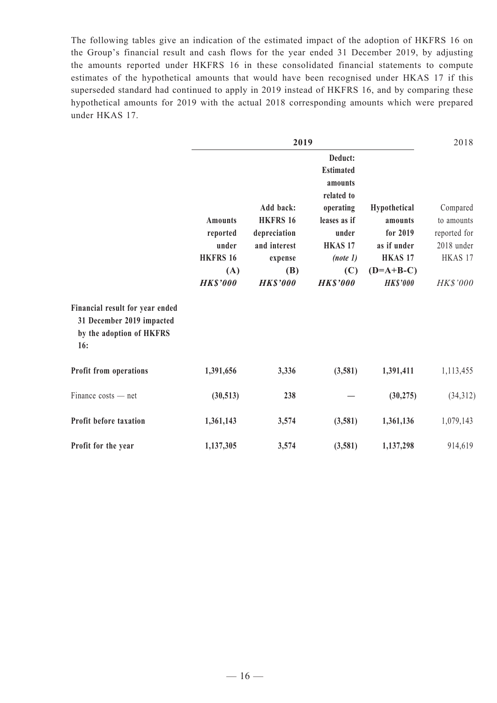The following tables give an indication of the estimated impact of the adoption of HKFRS 16 on the Group's financial result and cash flows for the year ended 31 December 2019, by adjusting the amounts reported under HKFRS 16 in these consolidated financial statements to compute estimates of the hypothetical amounts that would have been recognised under HKAS 17 if this superseded standard had continued to apply in 2019 instead of HKFRS 16, and by comparing these hypothetical amounts for 2019 with the actual 2018 corresponding amounts which were prepared under HKAS 17.

|                                                                                                 |                                                                                  | 2018                                                                                                    |                                                                                                         |                                                                                                            |                                                                             |
|-------------------------------------------------------------------------------------------------|----------------------------------------------------------------------------------|---------------------------------------------------------------------------------------------------------|---------------------------------------------------------------------------------------------------------|------------------------------------------------------------------------------------------------------------|-----------------------------------------------------------------------------|
|                                                                                                 |                                                                                  |                                                                                                         | Deduct:<br><b>Estimated</b><br>amounts                                                                  |                                                                                                            |                                                                             |
|                                                                                                 | <b>Amounts</b><br>reported<br>under<br><b>HKFRS 16</b><br>(A)<br><b>HK\$'000</b> | Add back:<br><b>HKFRS 16</b><br>depreciation<br>and interest<br>expense<br><b>(B)</b><br><b>HKS'000</b> | related to<br>operating<br>leases as if<br>under<br><b>HKAS17</b><br>(note 1)<br>(C)<br><b>HK\$'000</b> | Hypothetical<br>amounts<br>for 2019<br>as if under<br>HKAS <sub>17</sub><br>$(D=A+B-C)$<br><b>HK\$'000</b> | Compared<br>to amounts<br>reported for<br>2018 under<br>HKAS 17<br>HK\$'000 |
| Financial result for year ended<br>31 December 2019 impacted<br>by the adoption of HKFRS<br>16: |                                                                                  |                                                                                                         |                                                                                                         |                                                                                                            |                                                                             |
| Profit from operations                                                                          | 1,391,656                                                                        | 3,336                                                                                                   | (3,581)                                                                                                 | 1,391,411                                                                                                  | 1,113,455                                                                   |
| Finance costs - net                                                                             | (30,513)                                                                         | 238                                                                                                     |                                                                                                         | (30, 275)                                                                                                  | (34,312)                                                                    |
| Profit before taxation                                                                          | 1,361,143                                                                        | 3,574                                                                                                   | (3,581)                                                                                                 | 1,361,136                                                                                                  | 1,079,143                                                                   |
| Profit for the year                                                                             | 1,137,305                                                                        | 3,574                                                                                                   | (3,581)                                                                                                 | 1,137,298                                                                                                  | 914,619                                                                     |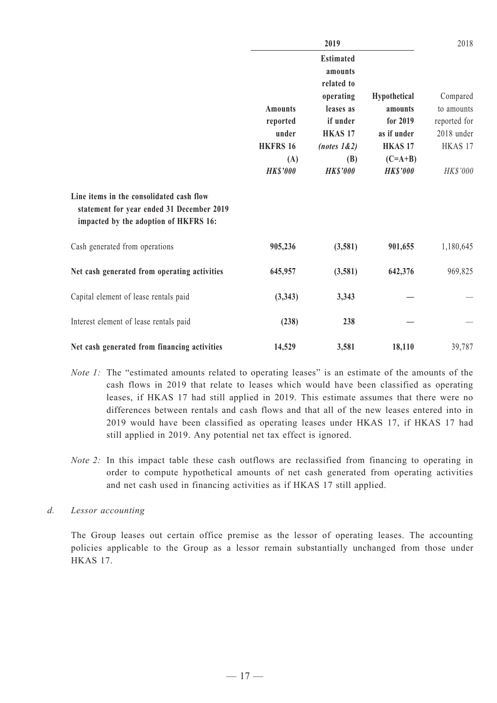|                                                                                                                                | 2019            |                                           |                 | 2018         |  |
|--------------------------------------------------------------------------------------------------------------------------------|-----------------|-------------------------------------------|-----------------|--------------|--|
|                                                                                                                                |                 | <b>Estimated</b><br>amounts<br>related to |                 |              |  |
|                                                                                                                                |                 | operating                                 | Hypothetical    | Compared     |  |
|                                                                                                                                | <b>Amounts</b>  | leases as                                 | amounts         | to amounts   |  |
|                                                                                                                                | reported        | if under                                  | for 2019        | reported for |  |
|                                                                                                                                | under           | <b>HKAS17</b>                             | as if under     | 2018 under   |  |
|                                                                                                                                | <b>HKFRS 16</b> | (notes 1&2)                               | <b>HKAS17</b>   | HKAS 17      |  |
|                                                                                                                                | (A)             | (B)                                       | $(C=A+B)$       |              |  |
|                                                                                                                                | <b>HK\$'000</b> | <b>HK\$'000</b>                           | <b>HK\$'000</b> | HK\$'000     |  |
| Line items in the consolidated cash flow<br>statement for year ended 31 December 2019<br>impacted by the adoption of HKFRS 16: |                 |                                           |                 |              |  |
| Cash generated from operations                                                                                                 | 905,236         | (3,581)                                   | 901,655         | 1,180,645    |  |
| Net cash generated from operating activities                                                                                   | 645,957         | (3,581)                                   | 642,376         | 969,825      |  |
| Capital element of lease rentals paid                                                                                          | (3,343)         | 3,343                                     |                 |              |  |
| Interest element of lease rentals paid                                                                                         | (238)           | 238                                       |                 |              |  |
| Net cash generated from financing activities                                                                                   | 14,529          | 3,581                                     | 18,110          | 39,787       |  |

- *Note 1:* The "estimated amounts related to operating leases" is an estimate of the amounts of the cash flows in 2019 that relate to leases which would have been classified as operating leases, if HKAS 17 had still applied in 2019. This estimate assumes that there were no differences between rentals and cash flows and that all of the new leases entered into in 2019 would have been classified as operating leases under HKAS 17, if HKAS 17 had still applied in 2019. Any potential net tax effect is ignored.
- *Note 2:* In this impact table these cash outflows are reclassified from financing to operating in order to compute hypothetical amounts of net cash generated from operating activities and net cash used in financing activities as if HKAS 17 still applied.
- *d. Lessor accounting*

The Group leases out certain office premise as the lessor of operating leases. The accounting policies applicable to the Group as a lessor remain substantially unchanged from those under HKAS 17.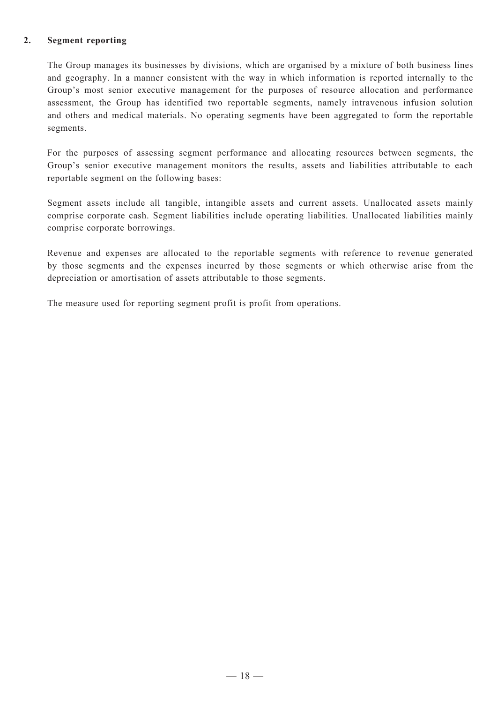### **2. Segment reporting**

The Group manages its businesses by divisions, which are organised by a mixture of both business lines and geography. In a manner consistent with the way in which information is reported internally to the Group's most senior executive management for the purposes of resource allocation and performance assessment, the Group has identified two reportable segments, namely intravenous infusion solution and others and medical materials. No operating segments have been aggregated to form the reportable segments.

For the purposes of assessing segment performance and allocating resources between segments, the Group's senior executive management monitors the results, assets and liabilities attributable to each reportable segment on the following bases:

Segment assets include all tangible, intangible assets and current assets. Unallocated assets mainly comprise corporate cash. Segment liabilities include operating liabilities. Unallocated liabilities mainly comprise corporate borrowings.

Revenue and expenses are allocated to the reportable segments with reference to revenue generated by those segments and the expenses incurred by those segments or which otherwise arise from the depreciation or amortisation of assets attributable to those segments.

The measure used for reporting segment profit is profit from operations.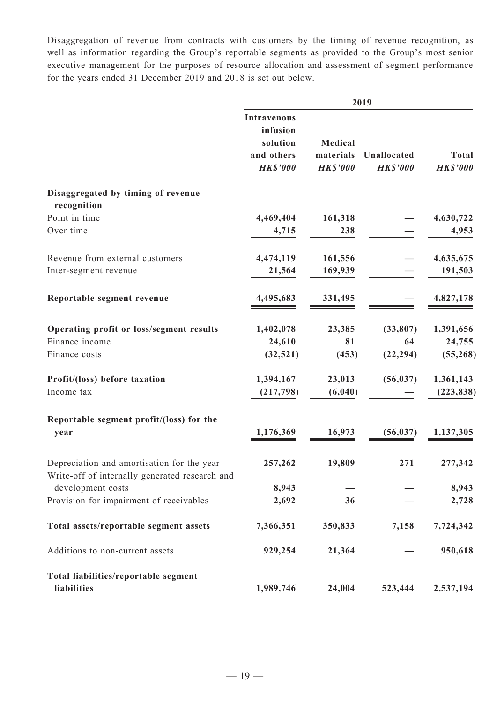Disaggregation of revenue from contracts with customers by the timing of revenue recognition, as well as information regarding the Group's reportable segments as provided to the Group's most senior executive management for the purposes of resource allocation and assessment of segment performance for the years ended 31 December 2019 and 2018 is set out below.

|                                                                     | 2019                                                                        |                                         |                                |                                 |  |
|---------------------------------------------------------------------|-----------------------------------------------------------------------------|-----------------------------------------|--------------------------------|---------------------------------|--|
|                                                                     | <b>Intravenous</b><br>infusion<br>solution<br>and others<br><b>HK\$'000</b> | Medical<br>materials<br><b>HK\$'000</b> | Unallocated<br><b>HK\$'000</b> | <b>Total</b><br><b>HK\$'000</b> |  |
| Disaggregated by timing of revenue<br>recognition                   |                                                                             |                                         |                                |                                 |  |
| Point in time                                                       | 4,469,404                                                                   | 161,318                                 |                                | 4,630,722                       |  |
| Over time                                                           | 4,715                                                                       | 238                                     |                                | 4,953                           |  |
| Revenue from external customers                                     | 4,474,119                                                                   | 161,556                                 |                                | 4,635,675                       |  |
| Inter-segment revenue                                               | 21,564                                                                      | 169,939                                 |                                | 191,503                         |  |
| Reportable segment revenue                                          | 4,495,683                                                                   | 331,495                                 |                                | 4,827,178                       |  |
| Operating profit or loss/segment results                            | 1,402,078                                                                   | 23,385                                  | (33,807)                       | 1,391,656                       |  |
| Finance income                                                      | 24,610                                                                      | 81                                      | 64                             | 24,755                          |  |
| Finance costs                                                       | (32, 521)                                                                   | (453)                                   | (22, 294)                      | (55, 268)                       |  |
| Profit/(loss) before taxation                                       | 1,394,167                                                                   | 23,013                                  | (56, 037)                      | 1,361,143                       |  |
| Income tax                                                          | (217,798)                                                                   | (6, 040)                                |                                | (223, 838)                      |  |
| Reportable segment profit/(loss) for the<br>year                    | 1,176,369                                                                   | 16,973                                  | (56, 037)                      | 1,137,305                       |  |
| Depreciation and amortisation for the year                          | 257,262                                                                     | 19,809                                  | 271                            | 277,342                         |  |
| Write-off of internally generated research and<br>development costs | 8,943                                                                       |                                         |                                | 8,943                           |  |
| Provision for impairment of receivables                             | 2,692                                                                       | 36                                      |                                | 2,728                           |  |
| Total assets/reportable segment assets                              | 7,366,351                                                                   | 350,833                                 | 7,158                          | 7,724,342                       |  |
| Additions to non-current assets                                     | 929,254                                                                     | 21,364                                  |                                | 950,618                         |  |
| Total liabilities/reportable segment<br>liabilities                 | 1,989,746                                                                   | 24,004                                  | 523,444                        | 2,537,194                       |  |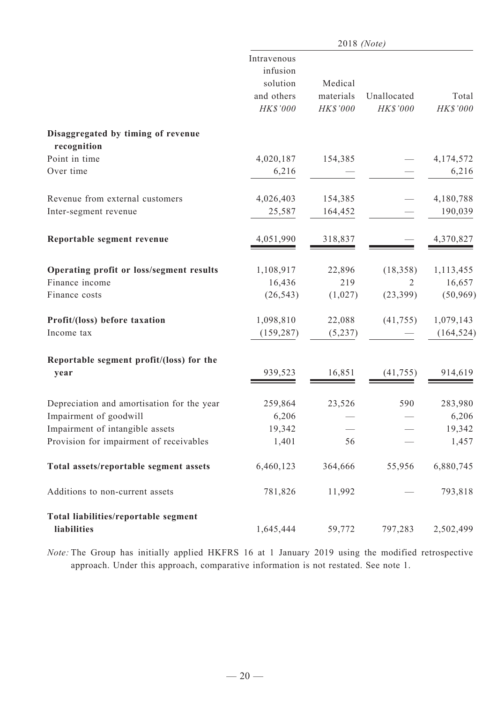|                                                     | 2018 (Note)                                                   |                                  |                         |                   |  |
|-----------------------------------------------------|---------------------------------------------------------------|----------------------------------|-------------------------|-------------------|--|
|                                                     | Intravenous<br>infusion<br>solution<br>and others<br>HK\$'000 | Medical<br>materials<br>HK\$'000 | Unallocated<br>HK\$'000 | Total<br>HK\$'000 |  |
| Disaggregated by timing of revenue                  |                                                               |                                  |                         |                   |  |
| recognition<br>Point in time                        | 4,020,187                                                     | 154,385                          |                         | 4,174,572         |  |
| Over time                                           | 6,216                                                         |                                  |                         | 6,216             |  |
| Revenue from external customers                     | 4,026,403                                                     | 154,385                          |                         | 4,180,788         |  |
| Inter-segment revenue                               | 25,587                                                        | 164,452                          |                         | 190,039           |  |
| Reportable segment revenue                          | 4,051,990                                                     | 318,837                          |                         | 4,370,827         |  |
| Operating profit or loss/segment results            | 1,108,917                                                     | 22,896                           | (18, 358)               | 1,113,455         |  |
| Finance income                                      | 16,436                                                        | 219                              | 2                       | 16,657            |  |
| Finance costs                                       | (26, 543)                                                     | (1,027)                          | (23, 399)               | (50, 969)         |  |
| Profit/(loss) before taxation                       | 1,098,810                                                     | 22,088                           | (41, 755)               | 1,079,143         |  |
| Income tax                                          | (159, 287)                                                    | (5,237)                          |                         | (164, 524)        |  |
| Reportable segment profit/(loss) for the<br>year    | 939,523                                                       | 16,851                           | (41, 755)               | 914,619           |  |
| Depreciation and amortisation for the year          | 259,864                                                       | 23,526                           | 590                     | 283,980           |  |
| Impairment of goodwill                              | 6,206                                                         |                                  |                         | 6,206             |  |
| Impairment of intangible assets                     | 19,342                                                        |                                  |                         | 19,342            |  |
| Provision for impairment of receivables             | 1,401                                                         | 56                               |                         | 1,457             |  |
| Total assets/reportable segment assets              | 6,460,123                                                     | 364,666                          | 55,956                  | 6,880,745         |  |
| Additions to non-current assets                     | 781,826                                                       | 11,992                           |                         | 793,818           |  |
| Total liabilities/reportable segment<br>liabilities | 1,645,444                                                     | 59,772                           | 797,283                 | 2,502,499         |  |

*Note:* The Group has initially applied HKFRS 16 at 1 January 2019 using the modified retrospective approach. Under this approach, comparative information is not restated. See note 1.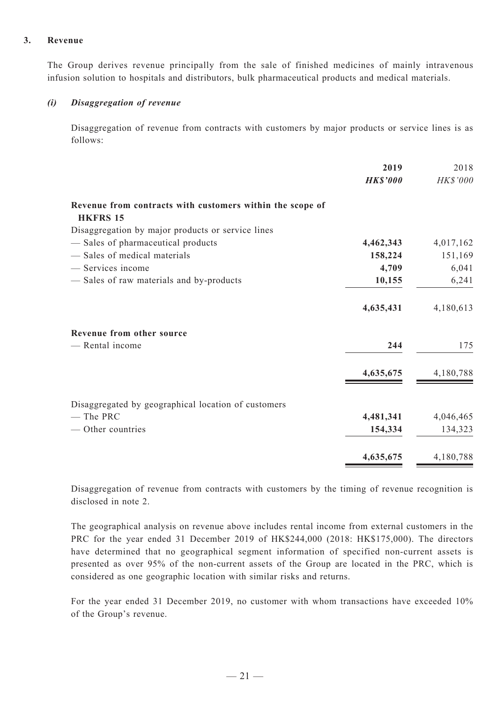#### **3. Revenue**

The Group derives revenue principally from the sale of finished medicines of mainly intravenous infusion solution to hospitals and distributors, bulk pharmaceutical products and medical materials.

#### *(i) Disaggregation of revenue*

Disaggregation of revenue from contracts with customers by major products or service lines is as follows:

| 2019      | 2018            |
|-----------|-----------------|
|           | HK\$'000        |
|           |                 |
|           |                 |
| 4,462,343 | 4,017,162       |
| 158,224   | 151,169         |
| 4,709     | 6,041           |
| 10,155    | 6,241           |
| 4,635,431 | 4,180,613       |
|           |                 |
| 244       | 175             |
| 4,635,675 | 4,180,788       |
|           |                 |
| 4,481,341 | 4,046,465       |
| 154,334   | 134,323         |
| 4,635,675 | 4,180,788       |
|           | <b>HK\$'000</b> |

Disaggregation of revenue from contracts with customers by the timing of revenue recognition is disclosed in note 2.

The geographical analysis on revenue above includes rental income from external customers in the PRC for the year ended 31 December 2019 of HK\$244,000 (2018: HK\$175,000). The directors have determined that no geographical segment information of specified non-current assets is presented as over 95% of the non-current assets of the Group are located in the PRC, which is considered as one geographic location with similar risks and returns.

For the year ended 31 December 2019, no customer with whom transactions have exceeded 10% of the Group's revenue.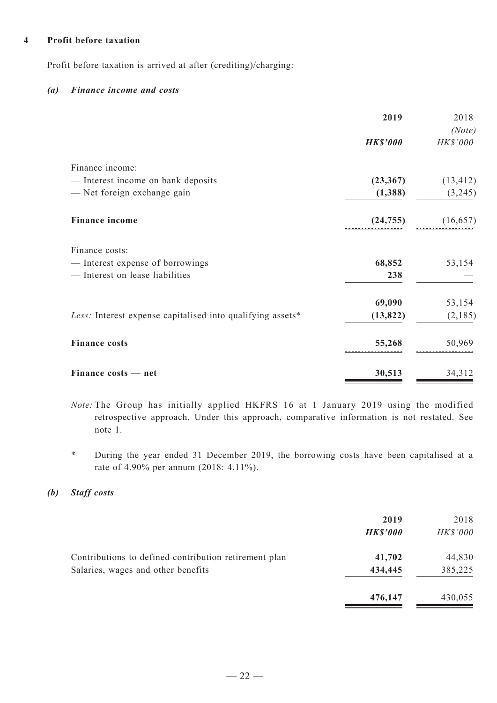#### **4 Profit before taxation**

Profit before taxation is arrived at after (crediting)/charging:

#### *(a) Finance income and costs*

|                                                            | 2019            | 2018      |
|------------------------------------------------------------|-----------------|-----------|
|                                                            |                 | (Note)    |
|                                                            | <b>HK\$'000</b> | HK\$'000  |
| Finance income:                                            |                 |           |
| - Interest income on bank deposits                         | (23,367)        | (13, 412) |
| - Net foreign exchange gain                                | (1,388)         | (3,245)   |
| <b>Finance income</b>                                      | (24, 755)       | (16, 657) |
| Finance costs:                                             |                 |           |
| - Interest expense of borrowings                           | 68,852          | 53,154    |
| - Interest on lease liabilities                            | 238             |           |
|                                                            | 69,090          | 53,154    |
| Less: Interest expense capitalised into qualifying assets* | (13, 822)       | (2,185)   |
| <b>Finance costs</b>                                       | 55,268          | 50,969    |
| Finance costs - net                                        | 30,513          | 34,312    |

*Note:* The Group has initially applied HKFRS 16 at 1 January 2019 using the modified retrospective approach. Under this approach, comparative information is not restated. See note 1.

\* During the year ended 31 December 2019, the borrowing costs have been capitalised at a rate of 4.90% per annum (2018: 4.11%).

### *(b) Staff costs*

|                                                                                             | 2019<br><b>HK\$'000</b> | 2018<br><b>HK\$'000</b> |
|---------------------------------------------------------------------------------------------|-------------------------|-------------------------|
| Contributions to defined contribution retirement plan<br>Salaries, wages and other benefits | 41,702<br>434,445       | 44,830<br>385,225       |
|                                                                                             | 476,147                 | 430,055                 |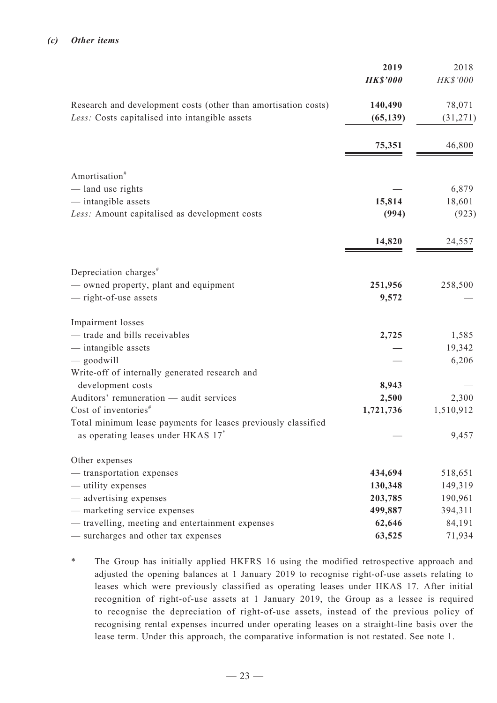|                                                                                                                  | 2019<br><b>HK\$'000</b> | 2018<br>HK\$'000    |
|------------------------------------------------------------------------------------------------------------------|-------------------------|---------------------|
| Research and development costs (other than amortisation costs)<br>Less: Costs capitalised into intangible assets | 140,490<br>(65, 139)    | 78,071<br>(31, 271) |
|                                                                                                                  | 75,351                  | 46,800              |
| Amortisation <sup>#</sup>                                                                                        |                         |                     |
| - land use rights                                                                                                |                         | 6,879               |
| - intangible assets                                                                                              | 15,814                  | 18,601              |
| Less: Amount capitalised as development costs                                                                    | (994)                   | (923)               |
|                                                                                                                  | 14,820                  | 24,557              |
| Depreciation charges <sup>#</sup>                                                                                |                         |                     |
| - owned property, plant and equipment                                                                            | 251,956                 | 258,500             |
| - right-of-use assets                                                                                            | 9,572                   |                     |
| Impairment losses                                                                                                |                         |                     |
| - trade and bills receivables                                                                                    | 2,725                   | 1,585               |
| - intangible assets                                                                                              |                         | 19,342              |
| $-$ goodwill                                                                                                     |                         | 6,206               |
| Write-off of internally generated research and                                                                   |                         |                     |
| development costs                                                                                                | 8,943                   |                     |
| Auditors' remuneration - audit services                                                                          | 2,500                   | 2,300               |
| Cost of inventories $*$                                                                                          | 1,721,736               | 1,510,912           |
| Total minimum lease payments for leases previously classified<br>as operating leases under HKAS 17*              |                         | 9,457               |
| Other expenses                                                                                                   |                         |                     |
| - transportation expenses                                                                                        | 434,694                 | 518,651             |
| — utility expenses                                                                                               | 130,348                 | 149,319             |
| — advertising expenses                                                                                           | 203,785                 | 190,961             |
| - marketing service expenses                                                                                     | 499,887                 | 394,311             |
| - travelling, meeting and entertainment expenses                                                                 | 62,646                  | 84,191              |
| - surcharges and other tax expenses                                                                              | 63,525                  | 71,934              |

\* The Group has initially applied HKFRS 16 using the modified retrospective approach and adjusted the opening balances at 1 January 2019 to recognise right-of-use assets relating to leases which were previously classified as operating leases under HKAS 17. After initial recognition of right-of-use assets at 1 January 2019, the Group as a lessee is required to recognise the depreciation of right-of-use assets, instead of the previous policy of recognising rental expenses incurred under operating leases on a straight-line basis over the lease term. Under this approach, the comparative information is not restated. See note 1.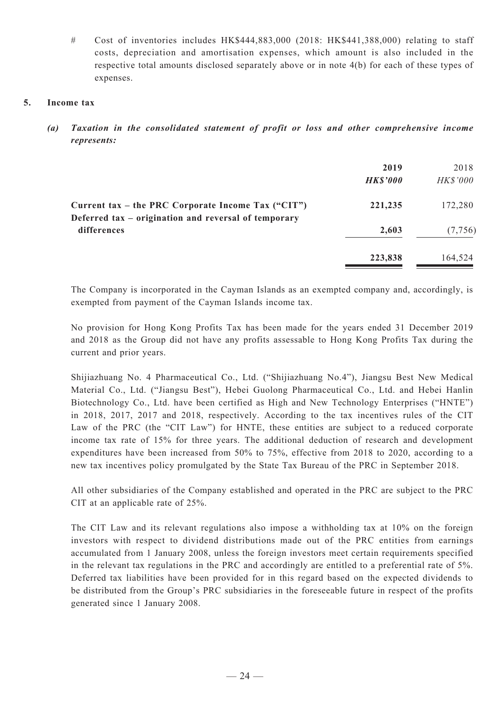# Cost of inventories includes HK\$444,883,000 (2018: HK\$441,388,000) relating to staff costs, depreciation and amortisation expenses, which amount is also included in the respective total amounts disclosed separately above or in note 4(b) for each of these types of expenses.

### **5. Income tax**

*(a) Taxation in the consolidated statement of profit or loss and other comprehensive income represents:*

|                                                                                                              | 2019<br><b>HK\$'000</b> | 2018<br><b>HK\$'000</b> |
|--------------------------------------------------------------------------------------------------------------|-------------------------|-------------------------|
| Current tax – the PRC Corporate Income Tax $("CIT")$<br>Deferred tax – origination and reversal of temporary | 221,235                 | 172,280                 |
| differences                                                                                                  | 2,603                   | (7,756)                 |
|                                                                                                              | 223,838                 | 164,524                 |

The Company is incorporated in the Cayman Islands as an exempted company and, accordingly, is exempted from payment of the Cayman Islands income tax.

No provision for Hong Kong Profits Tax has been made for the years ended 31 December 2019 and 2018 as the Group did not have any profits assessable to Hong Kong Profits Tax during the current and prior years.

Shijiazhuang No. 4 Pharmaceutical Co., Ltd. ("Shijiazhuang No.4"), Jiangsu Best New Medical Material Co., Ltd. ("Jiangsu Best"), Hebei Guolong Pharmaceutical Co., Ltd. and Hebei Hanlin Biotechnology Co., Ltd. have been certified as High and New Technology Enterprises ("HNTE") in 2018, 2017, 2017 and 2018, respectively. According to the tax incentives rules of the CIT Law of the PRC (the "CIT Law") for HNTE, these entities are subject to a reduced corporate income tax rate of 15% for three years. The additional deduction of research and development expenditures have been increased from 50% to 75%, effective from 2018 to 2020, according to a new tax incentives policy promulgated by the State Tax Bureau of the PRC in September 2018.

All other subsidiaries of the Company established and operated in the PRC are subject to the PRC CIT at an applicable rate of 25%.

The CIT Law and its relevant regulations also impose a withholding tax at 10% on the foreign investors with respect to dividend distributions made out of the PRC entities from earnings accumulated from 1 January 2008, unless the foreign investors meet certain requirements specified in the relevant tax regulations in the PRC and accordingly are entitled to a preferential rate of 5%. Deferred tax liabilities have been provided for in this regard based on the expected dividends to be distributed from the Group's PRC subsidiaries in the foreseeable future in respect of the profits generated since 1 January 2008.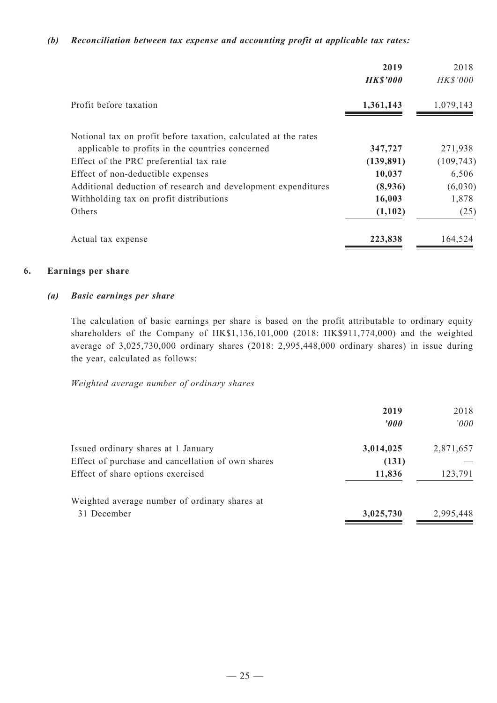#### *(b) Reconciliation between tax expense and accounting profit at applicable tax rates:*

|                                                                 | 2019<br><b>HK\$'000</b> | 2018<br>HK\$'000 |
|-----------------------------------------------------------------|-------------------------|------------------|
| Profit before taxation                                          | 1,361,143               | 1,079,143        |
| Notional tax on profit before taxation, calculated at the rates |                         |                  |
| applicable to profits in the countries concerned                | 347,727                 | 271,938          |
| Effect of the PRC preferential tax rate                         | (139, 891)              | (109, 743)       |
| Effect of non-deductible expenses                               | 10,037                  | 6,506            |
| Additional deduction of research and development expenditures   | (8,936)                 | (6,030)          |
| Withholding tax on profit distributions                         | 16,003                  | 1,878            |
| Others                                                          | (1,102)                 | (25)             |
| Actual tax expense                                              | 223,838                 | 164,524          |

### **6. Earnings per share**

#### *(a) Basic earnings per share*

The calculation of basic earnings per share is based on the profit attributable to ordinary equity shareholders of the Company of HK\$1,136,101,000 (2018: HK\$911,774,000) and the weighted average of 3,025,730,000 ordinary shares (2018: 2,995,448,000 ordinary shares) in issue during the year, calculated as follows:

*Weighted average number of ordinary shares*

|                                                   | 2019                  | 2018      |
|---------------------------------------------------|-----------------------|-----------|
|                                                   | $\boldsymbol{\theta}$ | '000      |
| Issued ordinary shares at 1 January               | 3,014,025             | 2,871,657 |
| Effect of purchase and cancellation of own shares | (131)                 |           |
| Effect of share options exercised                 | 11,836                | 123,791   |
| Weighted average number of ordinary shares at     |                       |           |
| 31 December                                       | 3,025,730             | 2,995,448 |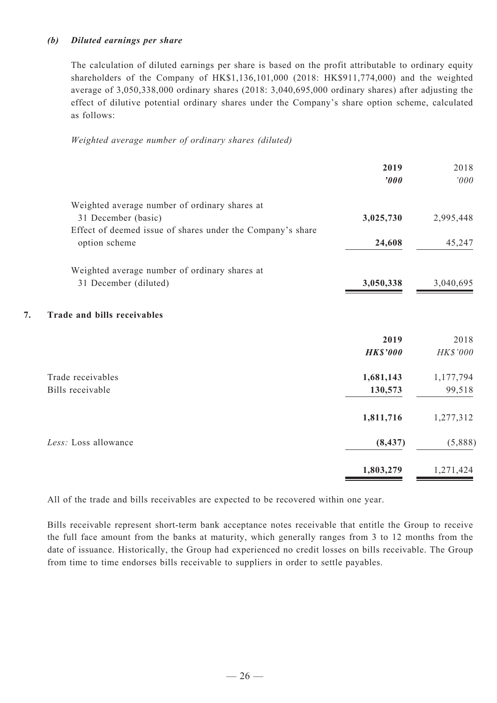### *(b) Diluted earnings per share*

The calculation of diluted earnings per share is based on the profit attributable to ordinary equity shareholders of the Company of HK\$1,136,101,000 (2018: HK\$911,774,000) and the weighted average of 3,050,338,000 ordinary shares (2018: 3,040,695,000 ordinary shares) after adjusting the effect of dilutive potential ordinary shares under the Company's share option scheme, calculated as follows:

*Weighted average number of ordinary shares (diluted)*

|                                          |                                                            | 2019<br>'000    | 2018<br>$^{\prime}000$ |
|------------------------------------------|------------------------------------------------------------|-----------------|------------------------|
|                                          | Weighted average number of ordinary shares at              |                 |                        |
| 31 December (basic)                      |                                                            | 3,025,730       | 2,995,448              |
|                                          | Effect of deemed issue of shares under the Company's share |                 |                        |
| option scheme                            |                                                            | 24,608          | 45,247                 |
|                                          | Weighted average number of ordinary shares at              |                 |                        |
| 31 December (diluted)                    |                                                            | 3,050,338       | 3,040,695              |
| 7.<br><b>Trade and bills receivables</b> |                                                            |                 |                        |
|                                          |                                                            | 2019            | 2018                   |
|                                          |                                                            | <b>HK\$'000</b> | HK\$'000               |
| Trade receivables                        |                                                            | 1,681,143       | 1,177,794              |
| Bills receivable                         |                                                            | 130,573         | 99,518                 |
|                                          |                                                            | 1,811,716       | 1,277,312              |
| Less: Loss allowance                     |                                                            | (8, 437)        | (5,888)                |
|                                          |                                                            | 1,803,279       | 1,271,424              |

All of the trade and bills receivables are expected to be recovered within one year.

Bills receivable represent short-term bank acceptance notes receivable that entitle the Group to receive the full face amount from the banks at maturity, which generally ranges from 3 to 12 months from the date of issuance. Historically, the Group had experienced no credit losses on bills receivable. The Group from time to time endorses bills receivable to suppliers in order to settle payables.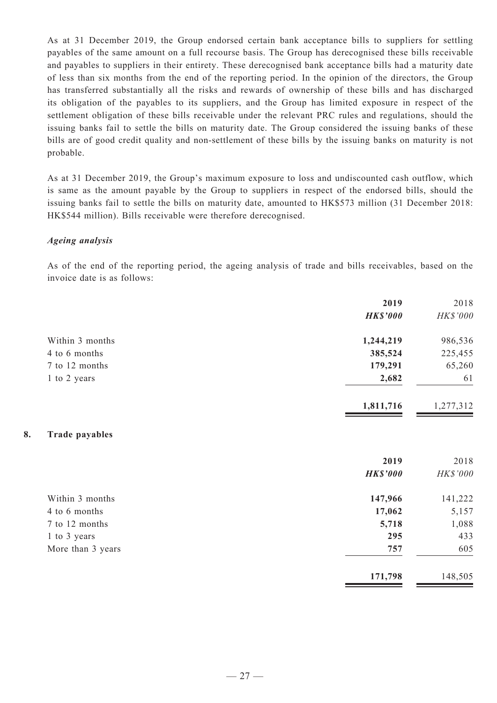As at 31 December 2019, the Group endorsed certain bank acceptance bills to suppliers for settling payables of the same amount on a full recourse basis. The Group has derecognised these bills receivable and payables to suppliers in their entirety. These derecognised bank acceptance bills had a maturity date of less than six months from the end of the reporting period. In the opinion of the directors, the Group has transferred substantially all the risks and rewards of ownership of these bills and has discharged its obligation of the payables to its suppliers, and the Group has limited exposure in respect of the settlement obligation of these bills receivable under the relevant PRC rules and regulations, should the issuing banks fail to settle the bills on maturity date. The Group considered the issuing banks of these bills are of good credit quality and non-settlement of these bills by the issuing banks on maturity is not probable.

As at 31 December 2019, the Group's maximum exposure to loss and undiscounted cash outflow, which is same as the amount payable by the Group to suppliers in respect of the endorsed bills, should the issuing banks fail to settle the bills on maturity date, amounted to HK\$573 million (31 December 2018: HK\$544 million). Bills receivable were therefore derecognised.

#### *Ageing analysis*

As of the end of the reporting period, the ageing analysis of trade and bills receivables, based on the invoice date is as follows:

|                             | 2019            | 2018      |
|-----------------------------|-----------------|-----------|
|                             | <b>HK\$'000</b> | HK\$'000  |
| Within 3 months             | 1,244,219       | 986,536   |
| 4 to 6 months               | 385,524         | 225,455   |
| 7 to 12 months              | 179,291         | 65,260    |
| 1 to 2 years                | 2,682           | 61        |
|                             | 1,811,716       | 1,277,312 |
| 8.<br><b>Trade payables</b> |                 |           |
|                             | 2019            | 2018      |
|                             | <b>HK\$'000</b> | HK\$'000  |
| Within 3 months             | 147,966         | 141,222   |
| 4 to 6 months               | 17,062          | 5,157     |
| 7 to 12 months              | 5,718           | 1,088     |
| 1 to 3 years                | 295             | 433       |
| More than 3 years           | 757             | 605       |
|                             | 171,798         | 148,505   |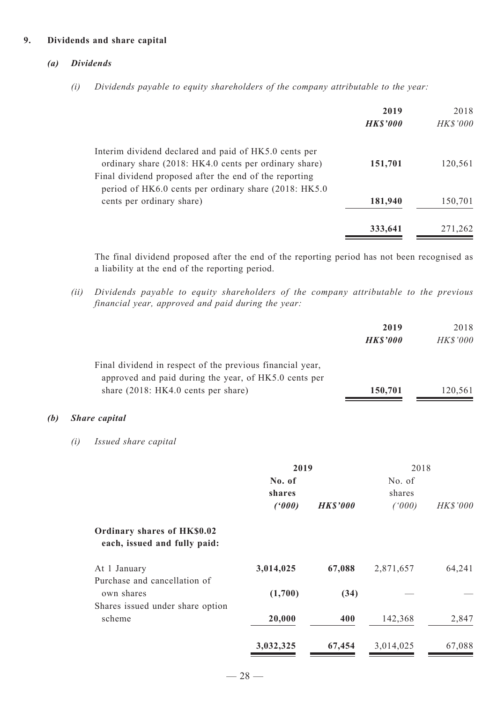#### **9. Dividends and share capital**

#### *(a) Dividends*

*(i) Dividends payable to equity shareholders of the company attributable to the year:*

|                                                                                                                  | 2019<br><b>HK\$'000</b> | 2018<br><b>HK\$'000</b> |
|------------------------------------------------------------------------------------------------------------------|-------------------------|-------------------------|
| Interim dividend declared and paid of HK5.0 cents per<br>ordinary share (2018: HK4.0 cents per ordinary share)   | 151,701                 | 120,561                 |
| Final dividend proposed after the end of the reporting<br>period of HK6.0 cents per ordinary share (2018: HK5.0) |                         |                         |
| cents per ordinary share)                                                                                        | 181,940                 | 150,701                 |
|                                                                                                                  | 333,641                 | 271,262                 |

The final dividend proposed after the end of the reporting period has not been recognised as a liability at the end of the reporting period.

*(ii) Dividends payable to equity shareholders of the company attributable to the previous financial year, approved and paid during the year:*

|     |     |                                                                                                                                                           |                  |                 | 2019<br><b>HK\$'000</b> | 2018<br>HK\$'000 |
|-----|-----|-----------------------------------------------------------------------------------------------------------------------------------------------------------|------------------|-----------------|-------------------------|------------------|
|     |     | Final dividend in respect of the previous financial year,<br>approved and paid during the year, of HK5.0 cents per<br>share (2018: HK4.0 cents per share) |                  |                 | 150,701                 | 120,561          |
| (b) |     | <b>Share</b> capital                                                                                                                                      |                  |                 |                         |                  |
|     | (i) | Issued share capital                                                                                                                                      |                  |                 |                         |                  |
|     |     |                                                                                                                                                           | 2019             |                 | 2018                    |                  |
|     |     |                                                                                                                                                           | No. of<br>shares |                 | No. of<br>shares        |                  |
|     |     |                                                                                                                                                           | (000)            | <b>HK\$'000</b> | (1000)                  | HK\$'000         |
|     |     | Ordinary shares of HK\$0.02<br>each, issued and fully paid:                                                                                               |                  |                 |                         |                  |
|     |     | At 1 January                                                                                                                                              | 3,014,025        | 67,088          | 2,871,657               | 64,241           |
|     |     | Purchase and cancellation of<br>own shares                                                                                                                | (1,700)          | (34)            |                         |                  |
|     |     | Shares issued under share option<br>scheme                                                                                                                | 20,000           | 400             | 142,368                 | 2,847            |

**3,032,325 67,454** 3,014,025 67,088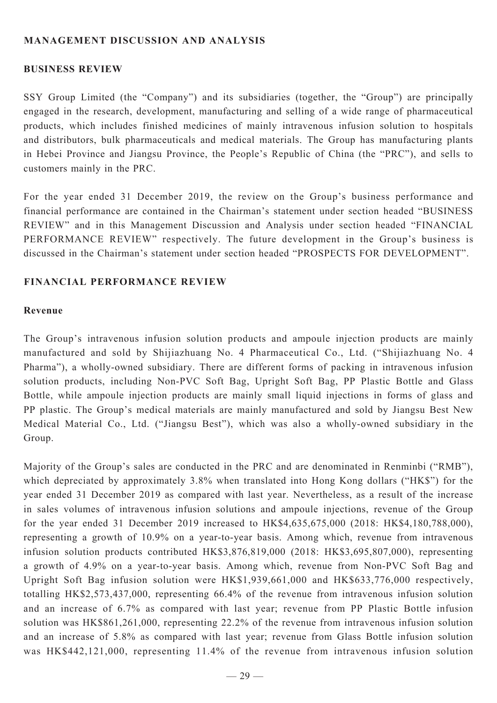## **MANAGEMENT DISCUSSION AND ANALYSIS**

### **BUSINESS REVIEW**

SSY Group Limited (the "Company") and its subsidiaries (together, the "Group") are principally engaged in the research, development, manufacturing and selling of a wide range of pharmaceutical products, which includes finished medicines of mainly intravenous infusion solution to hospitals and distributors, bulk pharmaceuticals and medical materials. The Group has manufacturing plants in Hebei Province and Jiangsu Province, the People's Republic of China (the "PRC"), and sells to customers mainly in the PRC.

For the year ended 31 December 2019, the review on the Group's business performance and financial performance are contained in the Chairman's statement under section headed "BUSINESS REVIEW" and in this Management Discussion and Analysis under section headed "FINANCIAL PERFORMANCE REVIEW" respectively. The future development in the Group's business is discussed in the Chairman's statement under section headed "PROSPECTS FOR DEVELOPMENT".

### **Financial performance review**

### **Revenue**

The Group's intravenous infusion solution products and ampoule injection products are mainly manufactured and sold by Shijiazhuang No. 4 Pharmaceutical Co., Ltd. ("Shijiazhuang No. 4 Pharma"), a wholly-owned subsidiary. There are different forms of packing in intravenous infusion solution products, including Non-PVC Soft Bag, Upright Soft Bag, PP Plastic Bottle and Glass Bottle, while ampoule injection products are mainly small liquid injections in forms of glass and PP plastic. The Group's medical materials are mainly manufactured and sold by Jiangsu Best New Medical Material Co., Ltd. ("Jiangsu Best"), which was also a wholly-owned subsidiary in the Group.

Majority of the Group's sales are conducted in the PRC and are denominated in Renminbi ("RMB"), which depreciated by approximately 3.8% when translated into Hong Kong dollars ("HK\$") for the year ended 31 December 2019 as compared with last year. Nevertheless, as a result of the increase in sales volumes of intravenous infusion solutions and ampoule injections, revenue of the Group for the year ended 31 December 2019 increased to HK\$4,635,675,000 (2018: HK\$4,180,788,000), representing a growth of 10.9% on a year-to-year basis. Among which, revenue from intravenous infusion solution products contributed HK\$3,876,819,000 (2018: HK\$3,695,807,000), representing a growth of 4.9% on a year-to-year basis. Among which, revenue from Non-PVC Soft Bag and Upright Soft Bag infusion solution were HK\$1,939,661,000 and HK\$633,776,000 respectively, totalling HK\$2,573,437,000, representing 66.4% of the revenue from intravenous infusion solution and an increase of 6.7% as compared with last year; revenue from PP Plastic Bottle infusion solution was HK\$861,261,000, representing 22.2% of the revenue from intravenous infusion solution and an increase of 5.8% as compared with last year; revenue from Glass Bottle infusion solution was HK\$442,121,000, representing 11.4% of the revenue from intravenous infusion solution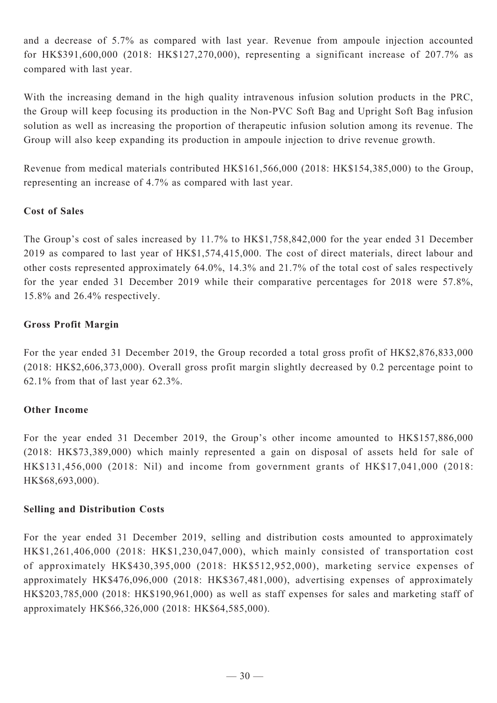and a decrease of 5.7% as compared with last year. Revenue from ampoule injection accounted for HK\$391,600,000 (2018: HK\$127,270,000), representing a significant increase of 207.7% as compared with last year.

With the increasing demand in the high quality intravenous infusion solution products in the PRC, the Group will keep focusing its production in the Non-PVC Soft Bag and Upright Soft Bag infusion solution as well as increasing the proportion of therapeutic infusion solution among its revenue. The Group will also keep expanding its production in ampoule injection to drive revenue growth.

Revenue from medical materials contributed HK\$161,566,000 (2018: HK\$154,385,000) to the Group, representing an increase of 4.7% as compared with last year.

## **Cost of Sales**

The Group's cost of sales increased by 11.7% to HK\$1,758,842,000 for the year ended 31 December 2019 as compared to last year of HK\$1,574,415,000. The cost of direct materials, direct labour and other costs represented approximately 64.0%, 14.3% and 21.7% of the total cost of sales respectively for the year ended 31 December 2019 while their comparative percentages for 2018 were 57.8%, 15.8% and 26.4% respectively.

### **Gross Profit Margin**

For the year ended 31 December 2019, the Group recorded a total gross profit of HK\$2,876,833,000 (2018: HK\$2,606,373,000). Overall gross profit margin slightly decreased by 0.2 percentage point to 62.1% from that of last year 62.3%.

## **Other Income**

For the year ended 31 December 2019, the Group's other income amounted to HK\$157,886,000 (2018: HK\$73,389,000) which mainly represented a gain on disposal of assets held for sale of HK\$131,456,000 (2018: Nil) and income from government grants of HK\$17,041,000 (2018: HK\$68,693,000).

### **Selling and Distribution Costs**

For the year ended 31 December 2019, selling and distribution costs amounted to approximately HK\$1,261,406,000 (2018: HK\$1,230,047,000), which mainly consisted of transportation cost of approximately HK\$430,395,000 (2018: HK\$512,952,000), marketing service expenses of approximately HK\$476,096,000 (2018: HK\$367,481,000), advertising expenses of approximately HK\$203,785,000 (2018: HK\$190,961,000) as well as staff expenses for sales and marketing staff of approximately HK\$66,326,000 (2018: HK\$64,585,000).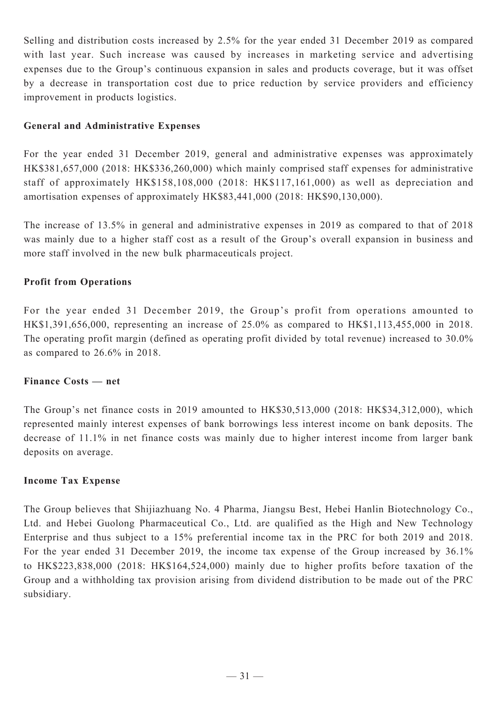Selling and distribution costs increased by 2.5% for the year ended 31 December 2019 as compared with last year. Such increase was caused by increases in marketing service and advertising expenses due to the Group's continuous expansion in sales and products coverage, but it was offset by a decrease in transportation cost due to price reduction by service providers and efficiency improvement in products logistics.

## **General and Administrative Expenses**

For the year ended 31 December 2019, general and administrative expenses was approximately HK\$381,657,000 (2018: HK\$336,260,000) which mainly comprised staff expenses for administrative staff of approximately HK\$158,108,000 (2018: HK\$117,161,000) as well as depreciation and amortisation expenses of approximately HK\$83,441,000 (2018: HK\$90,130,000).

The increase of 13.5% in general and administrative expenses in 2019 as compared to that of 2018 was mainly due to a higher staff cost as a result of the Group's overall expansion in business and more staff involved in the new bulk pharmaceuticals project.

## **Profit from Operations**

For the year ended 31 December 2019, the Group's profit from operations amounted to HK\$1,391,656,000, representing an increase of 25.0% as compared to HK\$1,113,455,000 in 2018. The operating profit margin (defined as operating profit divided by total revenue) increased to 30.0% as compared to 26.6% in 2018.

## **Finance Costs — net**

The Group's net finance costs in 2019 amounted to HK\$30,513,000 (2018: HK\$34,312,000), which represented mainly interest expenses of bank borrowings less interest income on bank deposits. The decrease of 11.1% in net finance costs was mainly due to higher interest income from larger bank deposits on average.

### **Income Tax Expense**

The Group believes that Shijiazhuang No. 4 Pharma, Jiangsu Best, Hebei Hanlin Biotechnology Co., Ltd. and Hebei Guolong Pharmaceutical Co., Ltd. are qualified as the High and New Technology Enterprise and thus subject to a 15% preferential income tax in the PRC for both 2019 and 2018. For the year ended 31 December 2019, the income tax expense of the Group increased by 36.1% to HK\$223,838,000 (2018: HK\$164,524,000) mainly due to higher profits before taxation of the Group and a withholding tax provision arising from dividend distribution to be made out of the PRC subsidiary.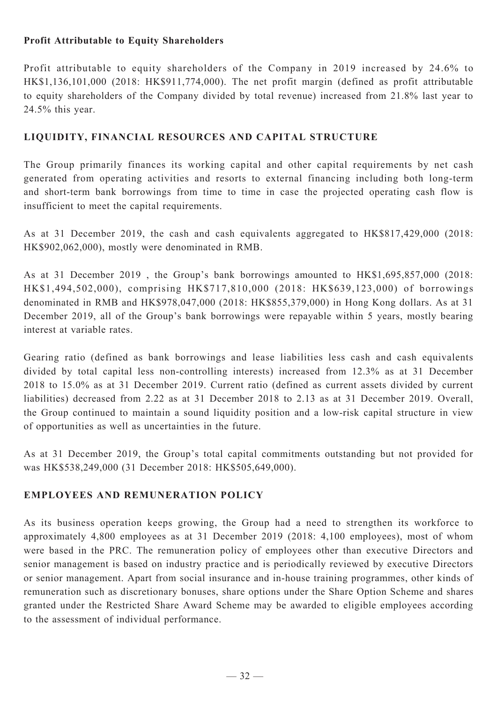## **Profit Attributable to Equity Shareholders**

Profit attributable to equity shareholders of the Company in 2019 increased by 24.6% to HK\$1,136,101,000 (2018: HK\$911,774,000). The net profit margin (defined as profit attributable to equity shareholders of the Company divided by total revenue) increased from 21.8% last year to 24.5% this year.

## **LIQUIDITY, FINANCIAL RESOURCES and capital structure**

The Group primarily finances its working capital and other capital requirements by net cash generated from operating activities and resorts to external financing including both long-term and short-term bank borrowings from time to time in case the projected operating cash flow is insufficient to meet the capital requirements.

As at 31 December 2019, the cash and cash equivalents aggregated to HK\$817,429,000 (2018: HK\$902,062,000), mostly were denominated in RMB.

As at 31 December 2019 , the Group's bank borrowings amounted to HK\$1,695,857,000 (2018: HK\$1,494,502,000), comprising HK\$717,810,000 (2018: HK\$639,123,000) of borrowings denominated in RMB and HK\$978,047,000 (2018: HK\$855,379,000) in Hong Kong dollars. As at 31 December 2019, all of the Group's bank borrowings were repayable within 5 years, mostly bearing interest at variable rates.

Gearing ratio (defined as bank borrowings and lease liabilities less cash and cash equivalents divided by total capital less non-controlling interests) increased from 12.3% as at 31 December 2018 to 15.0% as at 31 December 2019. Current ratio (defined as current assets divided by current liabilities) decreased from 2.22 as at 31 December 2018 to 2.13 as at 31 December 2019. Overall, the Group continued to maintain a sound liquidity position and a low-risk capital structure in view of opportunities as well as uncertainties in the future.

As at 31 December 2019, the Group's total capital commitments outstanding but not provided for was HK\$538,249,000 (31 December 2018: HK\$505,649,000).

## **EMPLOYEES AND REMUNERATION POLICY**

As its business operation keeps growing, the Group had a need to strengthen its workforce to approximately 4,800 employees as at 31 December 2019 (2018: 4,100 employees), most of whom were based in the PRC. The remuneration policy of employees other than executive Directors and senior management is based on industry practice and is periodically reviewed by executive Directors or senior management. Apart from social insurance and in-house training programmes, other kinds of remuneration such as discretionary bonuses, share options under the Share Option Scheme and shares granted under the Restricted Share Award Scheme may be awarded to eligible employees according to the assessment of individual performance.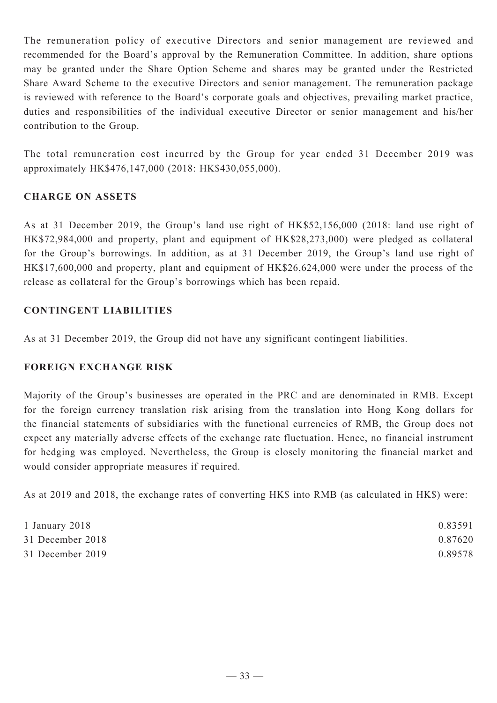The remuneration policy of executive Directors and senior management are reviewed and recommended for the Board's approval by the Remuneration Committee. In addition, share options may be granted under the Share Option Scheme and shares may be granted under the Restricted Share Award Scheme to the executive Directors and senior management. The remuneration package is reviewed with reference to the Board's corporate goals and objectives, prevailing market practice, duties and responsibilities of the individual executive Director or senior management and his/her contribution to the Group.

The total remuneration cost incurred by the Group for year ended 31 December 2019 was approximately HK\$476,147,000 (2018: HK\$430,055,000).

## **Charge on ASSETS**

As at 31 December 2019, the Group's land use right of HK\$52,156,000 (2018: land use right of HK\$72,984,000 and property, plant and equipment of HK\$28,273,000) were pledged as collateral for the Group's borrowings. In addition, as at 31 December 2019, the Group's land use right of HK\$17,600,000 and property, plant and equipment of HK\$26,624,000 were under the process of the release as collateral for the Group's borrowings which has been repaid.

## **CONTINGENT LIABILITIES**

As at 31 December 2019, the Group did not have any significant contingent liabilities.

## **FOREIGN EXCHANGE RISK**

Majority of the Group's businesses are operated in the PRC and are denominated in RMB. Except for the foreign currency translation risk arising from the translation into Hong Kong dollars for the financial statements of subsidiaries with the functional currencies of RMB, the Group does not expect any materially adverse effects of the exchange rate fluctuation. Hence, no financial instrument for hedging was employed. Nevertheless, the Group is closely monitoring the financial market and would consider appropriate measures if required.

As at 2019 and 2018, the exchange rates of converting HK\$ into RMB (as calculated in HK\$) were:

| 1 January 2018   | 0.83591 |
|------------------|---------|
| 31 December 2018 | 0.87620 |
| 31 December 2019 | 0.89578 |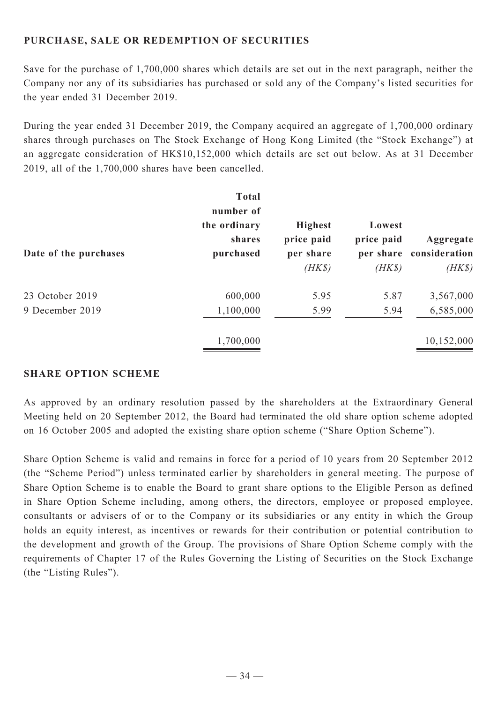## **PURCHASE, SALE OR REDEMPTION OF SECURITIES**

Save for the purchase of 1,700,000 shares which details are set out in the next paragraph, neither the Company nor any of its subsidiaries has purchased or sold any of the Company's listed securities for the year ended 31 December 2019.

During the year ended 31 December 2019, the Company acquired an aggregate of 1,700,000 ordinary shares through purchases on The Stock Exchange of Hong Kong Limited (the "Stock Exchange") at an aggregate consideration of HK\$10,152,000 which details are set out below. As at 31 December 2019, all of the 1,700,000 shares have been cancelled.

| Date of the purchases | <b>Total</b><br>number of<br>the ordinary<br>shares<br>purchased | <b>Highest</b><br>price paid<br>per share<br>$(HK\$ | Lowest<br>price paid<br>per share<br>$(HK\$ | Aggregate<br>consideration<br>$(HK\$ |
|-----------------------|------------------------------------------------------------------|-----------------------------------------------------|---------------------------------------------|--------------------------------------|
| 23 October 2019       | 600,000                                                          | 5.95                                                | 5.87                                        | 3,567,000                            |
| 9 December 2019       | 1,100,000                                                        | 5.99                                                | 5.94                                        | 6,585,000                            |
|                       | 1,700,000                                                        |                                                     |                                             | 10,152,000                           |

### **SHARE OPTION SCHEME**

As approved by an ordinary resolution passed by the shareholders at the Extraordinary General Meeting held on 20 September 2012, the Board had terminated the old share option scheme adopted on 16 October 2005 and adopted the existing share option scheme ("Share Option Scheme").

Share Option Scheme is valid and remains in force for a period of 10 years from 20 September 2012 (the "Scheme Period") unless terminated earlier by shareholders in general meeting. The purpose of Share Option Scheme is to enable the Board to grant share options to the Eligible Person as defined in Share Option Scheme including, among others, the directors, employee or proposed employee, consultants or advisers of or to the Company or its subsidiaries or any entity in which the Group holds an equity interest, as incentives or rewards for their contribution or potential contribution to the development and growth of the Group. The provisions of Share Option Scheme comply with the requirements of Chapter 17 of the Rules Governing the Listing of Securities on the Stock Exchange (the "Listing Rules").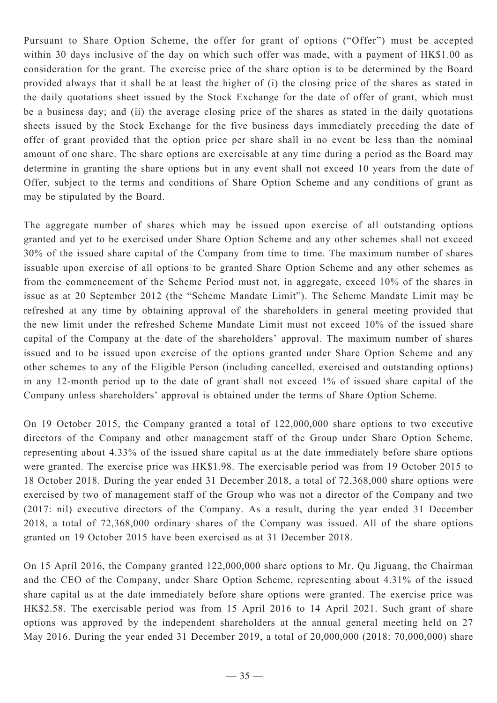Pursuant to Share Option Scheme, the offer for grant of options ("Offer") must be accepted within 30 days inclusive of the day on which such offer was made, with a payment of HK\$1.00 as consideration for the grant. The exercise price of the share option is to be determined by the Board provided always that it shall be at least the higher of (i) the closing price of the shares as stated in the daily quotations sheet issued by the Stock Exchange for the date of offer of grant, which must be a business day; and (ii) the average closing price of the shares as stated in the daily quotations sheets issued by the Stock Exchange for the five business days immediately preceding the date of offer of grant provided that the option price per share shall in no event be less than the nominal amount of one share. The share options are exercisable at any time during a period as the Board may determine in granting the share options but in any event shall not exceed 10 years from the date of Offer, subject to the terms and conditions of Share Option Scheme and any conditions of grant as may be stipulated by the Board.

The aggregate number of shares which may be issued upon exercise of all outstanding options granted and yet to be exercised under Share Option Scheme and any other schemes shall not exceed 30% of the issued share capital of the Company from time to time. The maximum number of shares issuable upon exercise of all options to be granted Share Option Scheme and any other schemes as from the commencement of the Scheme Period must not, in aggregate, exceed 10% of the shares in issue as at 20 September 2012 (the "Scheme Mandate Limit"). The Scheme Mandate Limit may be refreshed at any time by obtaining approval of the shareholders in general meeting provided that the new limit under the refreshed Scheme Mandate Limit must not exceed 10% of the issued share capital of the Company at the date of the shareholders' approval. The maximum number of shares issued and to be issued upon exercise of the options granted under Share Option Scheme and any other schemes to any of the Eligible Person (including cancelled, exercised and outstanding options) in any 12-month period up to the date of grant shall not exceed 1% of issued share capital of the Company unless shareholders' approval is obtained under the terms of Share Option Scheme.

On 19 October 2015, the Company granted a total of 122,000,000 share options to two executive directors of the Company and other management staff of the Group under Share Option Scheme, representing about 4.33% of the issued share capital as at the date immediately before share options were granted. The exercise price was HK\$1.98. The exercisable period was from 19 October 2015 to 18 October 2018. During the year ended 31 December 2018, a total of 72,368,000 share options were exercised by two of management staff of the Group who was not a director of the Company and two (2017: nil) executive directors of the Company. As a result, during the year ended 31 December 2018, a total of 72,368,000 ordinary shares of the Company was issued. All of the share options granted on 19 October 2015 have been exercised as at 31 December 2018.

On 15 April 2016, the Company granted 122,000,000 share options to Mr. Qu Jiguang, the Chairman and the CEO of the Company, under Share Option Scheme, representing about 4.31% of the issued share capital as at the date immediately before share options were granted. The exercise price was HK\$2.58. The exercisable period was from 15 April 2016 to 14 April 2021. Such grant of share options was approved by the independent shareholders at the annual general meeting held on 27 May 2016. During the year ended 31 December 2019, a total of 20,000,000 (2018: 70,000,000) share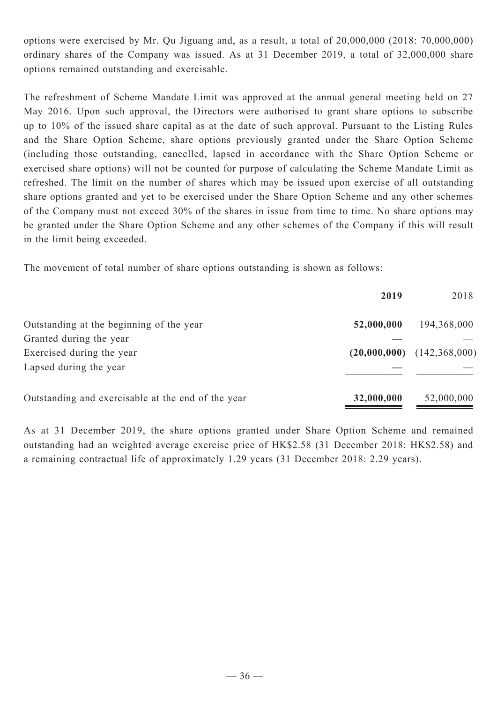options were exercised by Mr. Qu Jiguang and, as a result, a total of 20,000,000 (2018: 70,000,000) ordinary shares of the Company was issued. As at 31 December 2019, a total of 32,000,000 share options remained outstanding and exercisable.

The refreshment of Scheme Mandate Limit was approved at the annual general meeting held on 27 May 2016. Upon such approval, the Directors were authorised to grant share options to subscribe up to 10% of the issued share capital as at the date of such approval. Pursuant to the Listing Rules and the Share Option Scheme, share options previously granted under the Share Option Scheme (including those outstanding, cancelled, lapsed in accordance with the Share Option Scheme or exercised share options) will not be counted for purpose of calculating the Scheme Mandate Limit as refreshed. The limit on the number of shares which may be issued upon exercise of all outstanding share options granted and yet to be exercised under the Share Option Scheme and any other schemes of the Company must not exceed 30% of the shares in issue from time to time. No share options may be granted under the Share Option Scheme and any other schemes of the Company if this will result in the limit being exceeded.

The movement of total number of share options outstanding is shown as follows:

|                                                    | 2019       | 2018                           |
|----------------------------------------------------|------------|--------------------------------|
| Outstanding at the beginning of the year           | 52,000,000 | 194,368,000                    |
| Granted during the year                            |            |                                |
| Exercised during the year                          |            | $(20,000,000)$ $(142,368,000)$ |
| Lapsed during the year                             |            |                                |
| Outstanding and exercisable at the end of the year | 32,000,000 | 52,000,000                     |

As at 31 December 2019, the share options granted under Share Option Scheme and remained outstanding had an weighted average exercise price of HK\$2.58 (31 December 2018: HK\$2.58) and a remaining contractual life of approximately 1.29 years (31 December 2018: 2.29 years).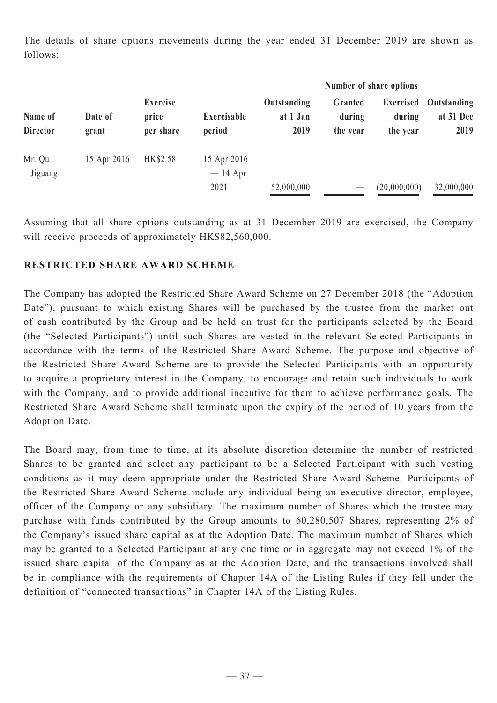The details of share options movements during the year ended 31 December 2019 are shown as follows:

| Name of<br><b>Director</b> | Date of<br>grant | <b>Exercise</b><br>Exercisable<br>price<br>period<br>per share |                                  | Number of share options       |                                 |                                  |            |
|----------------------------|------------------|----------------------------------------------------------------|----------------------------------|-------------------------------|---------------------------------|----------------------------------|------------|
|                            |                  |                                                                | Outstanding<br>at 1 Jan<br>2019  | Granted<br>during<br>the year | Exercised<br>during<br>the year | Outstanding<br>at 31 Dec<br>2019 |            |
| Mr. Qu<br>Jiguang          | 15 Apr 2016      | HK\$2.58                                                       | 15 Apr 2016<br>$-14$ Apr<br>2021 | 52,000,000                    | $\overline{\phantom{a}}$        | (20,000,000)                     | 32,000,000 |

Assuming that all share options outstanding as at 31 December 2019 are exercised, the Company will receive proceeds of approximately HK\$82,560,000.

## **RESTRICTED SHARE AWARD SCHEME**

The Company has adopted the Restricted Share Award Scheme on 27 December 2018 (the "Adoption Date"), pursuant to which existing Shares will be purchased by the trustee from the market out of cash contributed by the Group and be held on trust for the participants selected by the Board (the "Selected Participants") until such Shares are vested in the relevant Selected Participants in accordance with the terms of the Restricted Share Award Scheme. The purpose and objective of the Restricted Share Award Scheme are to provide the Selected Participants with an opportunity to acquire a proprietary interest in the Company, to encourage and retain such individuals to work with the Company, and to provide additional incentive for them to achieve performance goals. The Restricted Share Award Scheme shall terminate upon the expiry of the period of 10 years from the Adoption Date.

The Board may, from time to time, at its absolute discretion determine the number of restricted Shares to be granted and select any participant to be a Selected Participant with such vesting conditions as it may deem appropriate under the Restricted Share Award Scheme. Participants of the Restricted Share Award Scheme include any individual being an executive director, employee, officer of the Company or any subsidiary. The maximum number of Shares which the trustee may purchase with funds contributed by the Group amounts to 60,280,507 Shares, representing 2% of the Company's issued share capital as at the Adoption Date. The maximum number of Shares which may be granted to a Selected Participant at any one time or in aggregate may not exceed 1% of the issued share capital of the Company as at the Adoption Date, and the transactions involved shall be in compliance with the requirements of Chapter 14A of the Listing Rules if they fell under the definition of "connected transactions" in Chapter 14A of the Listing Rules.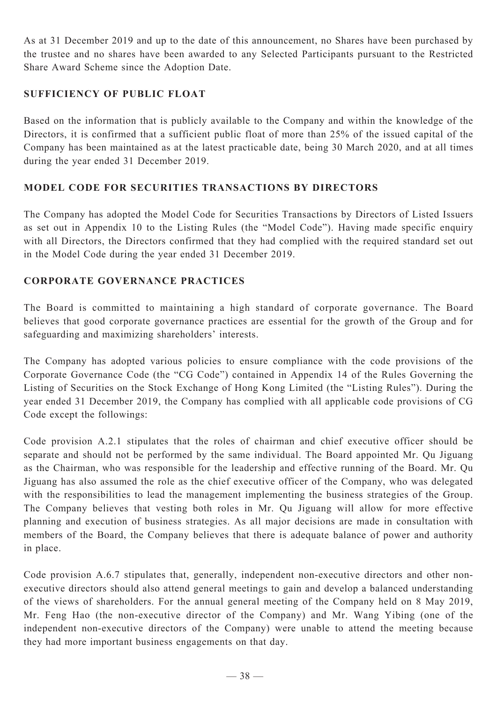As at 31 December 2019 and up to the date of this announcement, no Shares have been purchased by the trustee and no shares have been awarded to any Selected Participants pursuant to the Restricted Share Award Scheme since the Adoption Date.

## **SUFFICIENCY OF PUBLIC FLOAT**

Based on the information that is publicly available to the Company and within the knowledge of the Directors, it is confirmed that a sufficient public float of more than 25% of the issued capital of the Company has been maintained as at the latest practicable date, being 30 March 2020, and at all times during the year ended 31 December 2019.

## **Model Code for Securities Transactions by Directors**

The Company has adopted the Model Code for Securities Transactions by Directors of Listed Issuers as set out in Appendix 10 to the Listing Rules (the "Model Code"). Having made specific enquiry with all Directors, the Directors confirmed that they had complied with the required standard set out in the Model Code during the year ended 31 December 2019.

## **Corporate Governance Practices**

The Board is committed to maintaining a high standard of corporate governance. The Board believes that good corporate governance practices are essential for the growth of the Group and for safeguarding and maximizing shareholders' interests.

The Company has adopted various policies to ensure compliance with the code provisions of the Corporate Governance Code (the "CG Code") contained in Appendix 14 of the Rules Governing the Listing of Securities on the Stock Exchange of Hong Kong Limited (the "Listing Rules"). During the year ended 31 December 2019, the Company has complied with all applicable code provisions of CG Code except the followings:

Code provision A.2.1 stipulates that the roles of chairman and chief executive officer should be separate and should not be performed by the same individual. The Board appointed Mr. Qu Jiguang as the Chairman, who was responsible for the leadership and effective running of the Board. Mr. Qu Jiguang has also assumed the role as the chief executive officer of the Company, who was delegated with the responsibilities to lead the management implementing the business strategies of the Group. The Company believes that vesting both roles in Mr. Qu Jiguang will allow for more effective planning and execution of business strategies. As all major decisions are made in consultation with members of the Board, the Company believes that there is adequate balance of power and authority in place.

Code provision A.6.7 stipulates that, generally, independent non-executive directors and other nonexecutive directors should also attend general meetings to gain and develop a balanced understanding of the views of shareholders. For the annual general meeting of the Company held on 8 May 2019, Mr. Feng Hao (the non-executive director of the Company) and Mr. Wang Yibing (one of the independent non-executive directors of the Company) were unable to attend the meeting because they had more important business engagements on that day.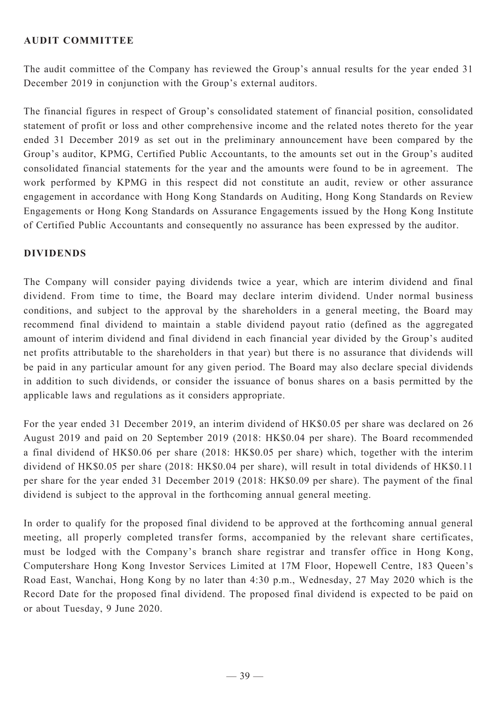## **AUDIT COMMITTEE**

The audit committee of the Company has reviewed the Group's annual results for the year ended 31 December 2019 in conjunction with the Group's external auditors.

The financial figures in respect of Group's consolidated statement of financial position, consolidated statement of profit or loss and other comprehensive income and the related notes thereto for the year ended 31 December 2019 as set out in the preliminary announcement have been compared by the Group's auditor, KPMG, Certified Public Accountants, to the amounts set out in the Group's audited consolidated financial statements for the year and the amounts were found to be in agreement. The work performed by KPMG in this respect did not constitute an audit, review or other assurance engagement in accordance with Hong Kong Standards on Auditing, Hong Kong Standards on Review Engagements or Hong Kong Standards on Assurance Engagements issued by the Hong Kong Institute of Certified Public Accountants and consequently no assurance has been expressed by the auditor.

### **DIVIDENDS**

The Company will consider paying dividends twice a year, which are interim dividend and final dividend. From time to time, the Board may declare interim dividend. Under normal business conditions, and subject to the approval by the shareholders in a general meeting, the Board may recommend final dividend to maintain a stable dividend payout ratio (defined as the aggregated amount of interim dividend and final dividend in each financial year divided by the Group's audited net profits attributable to the shareholders in that year) but there is no assurance that dividends will be paid in any particular amount for any given period. The Board may also declare special dividends in addition to such dividends, or consider the issuance of bonus shares on a basis permitted by the applicable laws and regulations as it considers appropriate.

For the year ended 31 December 2019, an interim dividend of HK\$0.05 per share was declared on 26 August 2019 and paid on 20 September 2019 (2018: HK\$0.04 per share). The Board recommended a final dividend of HK\$0.06 per share (2018: HK\$0.05 per share) which, together with the interim dividend of HK\$0.05 per share (2018: HK\$0.04 per share), will result in total dividends of HK\$0.11 per share for the year ended 31 December 2019 (2018: HK\$0.09 per share). The payment of the final dividend is subject to the approval in the forthcoming annual general meeting.

In order to qualify for the proposed final dividend to be approved at the forthcoming annual general meeting, all properly completed transfer forms, accompanied by the relevant share certificates, must be lodged with the Company's branch share registrar and transfer office in Hong Kong, Computershare Hong Kong Investor Services Limited at 17M Floor, Hopewell Centre, 183 Queen's Road East, Wanchai, Hong Kong by no later than 4:30 p.m., Wednesday, 27 May 2020 which is the Record Date for the proposed final dividend. The proposed final dividend is expected to be paid on or about Tuesday, 9 June 2020.